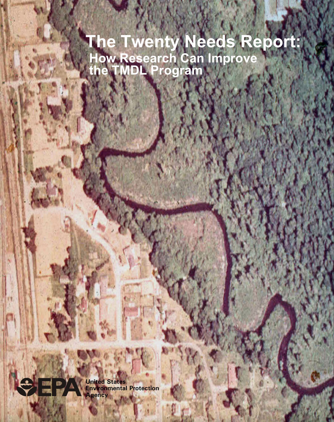# **The Twenty Needs Report: How Research Can Improve the TMDL Program**



**United States Environmental Protection Agency**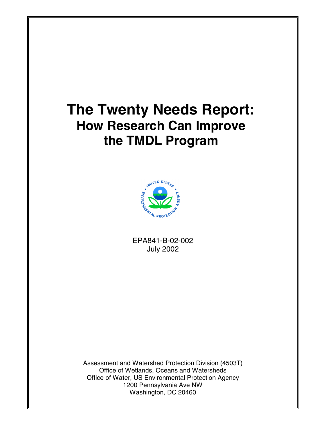# **The Twenty Needs Report: How Research Can Improve the TMDL Program**



EPA841-B-02-002 July 2002

Assessment and Watershed Protection Division (4503T) Office of Wetlands, Oceans and Watersheds Office of Water, US Environmental Protection Agency 1200 Pennsylvania Ave NW Washington, DC 20460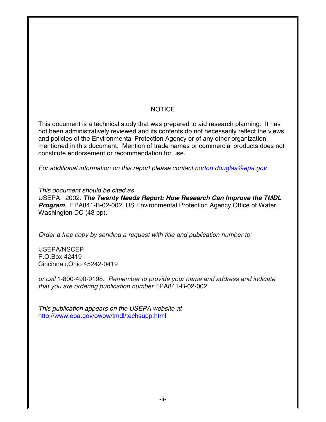#### **NOTICE**

This document is a technical study that was prepared to aid research planning. It has not been administratively reviewed and its contents do not necessarily reflect the views and policies of the Environmental Protection Agency or of any other organization mentioned in this document. Mention of trade names or commercial products does not constitute endorsement or recommendation for use.

*For additional information on this report please contact [norton.douglas@epa.gov](mailto:norton.douglas@epa.gov)*

*This document should be cited as*

USEPA. 2002. *The Twenty Needs Report: How Research Can Improve the TMDL Program*. EPA841-B-02-002, US Environmental Protection Agency Office of Water, Washington DC (43 pp).

*Order a free copy by sending a request with title and publication number to:*

USEPA/NSCEP P.O.Box 42419 Cincinnati,Ohio 45242-0419

*or call* 1-800-490-9198. *Remember to provide your name and address and indicate that you are ordering publication number* EPA841-B-02-002.

*This publication appears on the USEPA website at* <http://www.epa.gov/owow/tmdl/techsupp.html>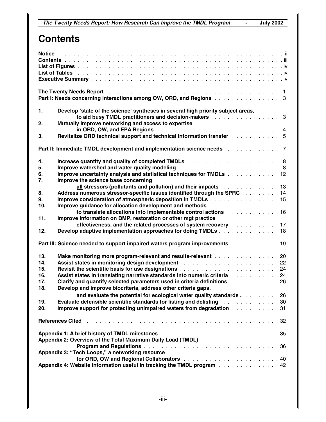## **Contents**

|                                                                                                    | The Twenty Needs Report enterprise in the contract of the transfer theory is a set of the Twenty Needs Report<br>Part I: Needs concerning interactions among OW, ORD, and Regions 3 |  |  |  |  |  |
|----------------------------------------------------------------------------------------------------|-------------------------------------------------------------------------------------------------------------------------------------------------------------------------------------|--|--|--|--|--|
| 1.                                                                                                 | Develop 'state of the science' syntheses in several high priority subject areas,<br>to aid busy TMDL practitioners and decision-makers entertainment and such a set of 3            |  |  |  |  |  |
| 2.                                                                                                 | Mutually improve networking and access to expertise                                                                                                                                 |  |  |  |  |  |
| 3.                                                                                                 | Revitalize ORD technical support and technical information transfer 5                                                                                                               |  |  |  |  |  |
|                                                                                                    | Part II: Immediate TMDL development and implementation science needs 7                                                                                                              |  |  |  |  |  |
| 4.                                                                                                 |                                                                                                                                                                                     |  |  |  |  |  |
| 5.                                                                                                 | Improve watershed and water quality modeling responses and contained vertical and $8$                                                                                               |  |  |  |  |  |
| 6.                                                                                                 | Improve uncertainty analysis and statistical techniques for TMDLs<br>12                                                                                                             |  |  |  |  |  |
| 7.                                                                                                 | Improve the science base concerning                                                                                                                                                 |  |  |  |  |  |
|                                                                                                    | all stressors (pollutants and pollution) and their impacts resonance and such a set of the stress or<br>13                                                                          |  |  |  |  |  |
| 8.                                                                                                 | Address numerous stressor-specific issues identified through the SPRC<br>14                                                                                                         |  |  |  |  |  |
| 9.                                                                                                 | Improve consideration of atmospheric deposition in TMDLs<br>15                                                                                                                      |  |  |  |  |  |
| 10.                                                                                                | Improve guidance for allocation development and methods                                                                                                                             |  |  |  |  |  |
|                                                                                                    | to translate allocations into implementable control actions<br>a de la caractería<br>16                                                                                             |  |  |  |  |  |
| 11.                                                                                                | Improve information on BMP, restoration or other mgt practice                                                                                                                       |  |  |  |  |  |
|                                                                                                    | effectiveness, and the related processes of system recovery result as a contact of<br>17                                                                                            |  |  |  |  |  |
| 12.                                                                                                | Develop adaptive implementation approaches for doing TMDLs<br>18                                                                                                                    |  |  |  |  |  |
| Part III: Science needed to support impaired waters program improvements with a state of the<br>19 |                                                                                                                                                                                     |  |  |  |  |  |
| 13.                                                                                                | Make monitoring more program-relevant and results-relevant<br>20                                                                                                                    |  |  |  |  |  |
| 14.                                                                                                | Assist states in monitoring design development Alberts Assistance and Assistance in monitoring<br>22                                                                                |  |  |  |  |  |
| 15.                                                                                                | 24                                                                                                                                                                                  |  |  |  |  |  |
| 16.                                                                                                | Assist states in translating narrative standards into numeric criteria Albertana Albertana Albertana Albertana<br>24                                                                |  |  |  |  |  |
| 17.                                                                                                | Clarify and quantify selected parameters used in criteria definitions Almanda and Sulla<br>26                                                                                       |  |  |  |  |  |
| 18.                                                                                                | Develop and improve biocriteria, address other criteria gaps,                                                                                                                       |  |  |  |  |  |
|                                                                                                    | and evaluate the potential for ecological water quality standards<br>26                                                                                                             |  |  |  |  |  |
| 19.                                                                                                | <b>Evaluate defensible scientific standards for listing and delisting entitled and results and results</b><br>30                                                                    |  |  |  |  |  |
| 20.                                                                                                | Improve support for protecting unimpaired waters from degradation<br>31                                                                                                             |  |  |  |  |  |
|                                                                                                    | <b>References Cited</b><br>32                                                                                                                                                       |  |  |  |  |  |
| 35                                                                                                 |                                                                                                                                                                                     |  |  |  |  |  |
| Appendix 2: Overview of the Total Maximum Daily Load (TMDL)                                        |                                                                                                                                                                                     |  |  |  |  |  |
| 36                                                                                                 |                                                                                                                                                                                     |  |  |  |  |  |
| Appendix 3: "Tech Loops," a networking resource                                                    |                                                                                                                                                                                     |  |  |  |  |  |
|                                                                                                    |                                                                                                                                                                                     |  |  |  |  |  |
| Appendix 4: Website information useful in tracking the TMDL program 42                             |                                                                                                                                                                                     |  |  |  |  |  |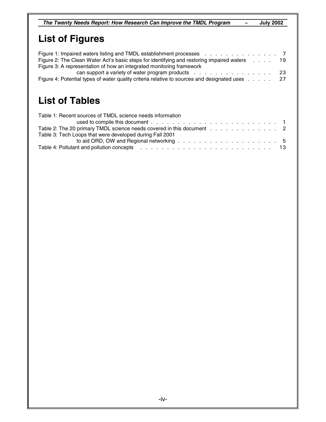*The Twenty Needs Report: How Research Can Improve the TMDL Program* **~ July 2002**

## **List of Figures**

| Figure 2: The Clean Water Act's basic steps for identifying and restoring impaired waters 19   |  |  |     |
|------------------------------------------------------------------------------------------------|--|--|-----|
| Figure 3: A representation of how an integrated monitoring framework                           |  |  |     |
|                                                                                                |  |  | -23 |
| Figure 4: Potential types of water quality criteria relative to sources and designated uses 27 |  |  |     |

## **List of Tables**

| Table 1: Recent sources of TMDL science needs information             |  |
|-----------------------------------------------------------------------|--|
|                                                                       |  |
| Table 2: The 20 primary TMDL science needs covered in this document 2 |  |
| Table 3: Tech Loops that were developed during Fall 2001              |  |
|                                                                       |  |
|                                                                       |  |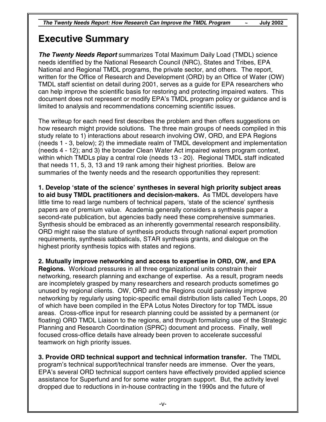## **Executive Summary**

*The Twenty Needs Report* summarizes Total Maximum Daily Load (TMDL) science needs identified by the National Research Council (NRC), States and Tribes, EPA National and Regional TMDL programs, the private sector, and others. The report, written for the Office of Research and Development (ORD) by an Office of Water (OW) TMDL staff scientist on detail during 2001, serves as a guide for EPA researchers who can help improve the scientific basis for restoring and protecting impaired waters. This document does not represent or modify EPA's TMDL program policy or guidance and is limited to analysis and recommendations concerning scientific issues.

The writeup for each need first describes the problem and then offers suggestions on how research might provide solutions. The three main groups of needs compiled in this study relate to 1) interactions about research involving OW, ORD, and EPA Regions (needs 1 - 3, below); 2) the immediate realm of TMDL development and implementation (needs 4 - 12); and 3) the broader Clean Water Act impaired waters program context, within which TMDLs play a central role (needs 13 - 20). Regional TMDL staff indicated that needs 11, 5, 3, 13 and 19 rank among their highest priorities. Below are summaries of the twenty needs and the research opportunities they represent:

**1. Develop 'state of the science' syntheses in several high priority subject areas to aid busy TMDL practitioners and decision-makers.** As TMDL developers have little time to read large numbers of technical papers, 'state of the science' synthesis papers are of premium value. Academia generally considers a synthesis paper a second-rate publication, but agencies badly need these comprehensive summaries. Synthesis should be embraced as an inherently governmental research responsibility. ORD might raise the stature of synthesis products through national expert promotion requirements, synthesis sabbaticals, STAR synthesis grants, and dialogue on the highest priority synthesis topics with states and regions.

**2. Mutually improve networking and access to expertise in ORD, OW, and EPA Regions.** Workload pressures in all three organizational units constrain their networking, research planning and exchange of expertise. As a result, program needs are incompletely grasped by many researchers and research products sometimes go unused by regional clients. OW, ORD and the Regions could painlessly improve networking by regularly using topic-specific email distribution lists called Tech Loops, 20 of which have been compiled in the EPA Lotus Notes Directory for top TMDL issue areas. Cross-office input for research planning could be assisted by a permanent (or floating) ORD TMDL Liaison to the regions, and through formalizing use of the Strategic Planning and Research Coordination (SPRC) document and process. Finally, well focused cross-office details have already been proven to accelerate successful teamwork on high priority issues.

**3. Provide ORD technical support and technical information transfer.** The TMDL program's technical support/technical transfer needs are immense. Over the years, EPA's several ORD technical support centers have effectively provided applied science assistance for Superfund and for some water program support. But, the activity level dropped due to reductions in in-house contracting in the 1990s and the future of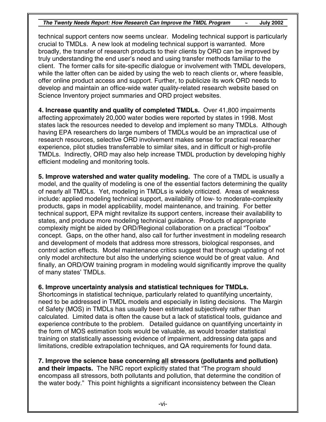technical support centers now seems unclear. Modeling technical support is particularly crucial to TMDLs. A new look at modeling technical support is warranted. More broadly, the transfer of research products to their clients by ORD can be improved by truly understanding the end user's need and using transfer methods familiar to the client. The former calls for site-specific dialogue or involvement with TMDL developers, while the latter often can be aided by using the web to reach clients or, where feasible, offer online product access and support. Further, to publicize its work ORD needs to develop and maintain an office-wide water quality-related research website based on Science Inventory project summaries and ORD project websites.

**4. Increase quantity and quality of completed TMDLs.** Over 41,800 impairments affecting approximately 20,000 water bodies were reported by states in 1998. Most states lack the resources needed to develop and implement so many TMDLs. Although having EPA researchers do large numbers of TMDLs would be an impractical use of research resources, selective ORD involvement makes sense for practical researcher experience, pilot studies transferrable to similar sites, and in difficult or high-profile TMDLs. Indirectly, ORD may also help increase TMDL production by developing highly efficient modeling and monitoring tools.

**5. Improve watershed and water quality modeling.** The core of a TMDL is usually a model, and the quality of modeling is one of the essential factors determining the quality of nearly all TMDLs. Yet, modeling in TMDLs is widely criticized. Areas of weakness include: applied modeling technical support, availability of low- to moderate-complexity products, gaps in model applicability, model maintenance, and training. For better technical support, EPA might revitalize its support centers, increase their availability to states, and produce more modeling technical guidance. Products of appropriate complexity might be aided by ORD/Regional collaboration on a practical "Toolbox" concept. Gaps, on the other hand, also call for further investment in modeling research and development of models that address more stressors, biological responses, and control action effects. Model maintenance critics suggest that thorough updating of not only model architecture but also the underlying science would be of great value. And finally, an ORD/OW training program in modeling would significantly improve the quality of many states' TMDLs.

#### **6. Improve uncertainty analysis and statistical techniques for TMDLs.**

Shortcomings in statistical technique, particularly related to quantifying uncertainty, need to be addressed in TMDL models and especially in listing decisions. The Margin of Safety (MOS) in TMDLs has usually been estimated subjectively rather than calculated. Limited data is often the cause but a lack of statistical tools, guidance and experience contribute to the problem. Detailed guidance on quantifying uncertainty in the form of MOS estimation tools would be valuable, as would broader statistical training on statistically assessing evidence of impairment, addressing data gaps and limitations, credible extrapolation techniques, and QA requirements for found data.

#### **7. Improve the science base concerning all stressors (pollutants and pollution)**

**and their impacts.** The NRC report explicitly stated that "The program should encompass all stressors, both pollutants and pollution, that determine the condition of the water body." This point highlights a significant inconsistency between the Clean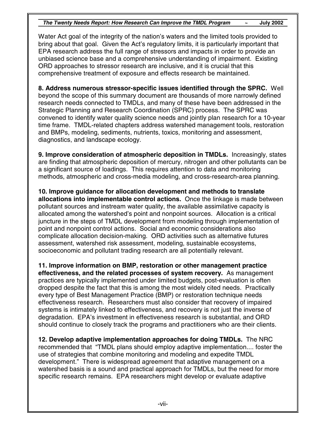Water Act goal of the integrity of the nation's waters and the limited tools provided to bring about that goal. Given the Act's regulatory limits, it is particularly important that EPA research address the full range of stressors and impacts in order to provide an unbiased science base and a comprehensive understanding of impairment. Existing ORD approaches to stressor research are inclusive, and it is crucial that this comprehensive treatment of exposure and effects research be maintained.

**8. Address numerous stressor-specific issues identified through the SPRC.** Well beyond the scope of this summary document are thousands of more narrowly defined research needs connected to TMDLs, and many of these have been addressed in the Strategic Planning and Research Coordination (SPRC) process. The SPRC was convened to identify water quality science needs and jointly plan research for a 10-year time frame. TMDL-related chapters address watershed management tools, restoration and BMPs, modeling, sediments, nutrients, toxics, monitoring and assessment, diagnostics, and landscape ecology.

**9. Improve consideration of atmospheric deposition in TMDLs.** Increasingly, states are finding that atmospheric deposition of mercury, nitrogen and other pollutants can be a significant source of loadings. This requires attention to data and monitoring methods, atmospheric and cross-media modeling, and cross-research-area planning.

**10. Improve guidance for allocation development and methods to translate allocations into implementable control actions.** Once the linkage is made between pollutant sources and instream water quality, the available assimilative capacity is allocated among the watershed's point and nonpoint sources. Allocation is a critical juncture in the steps of TMDL development from modeling through implementation of point and nonpoint control actions. Social and economic considerations also complicate allocation decision-making. ORD activities such as alternative futures assessment, watershed risk assessment, modeling, sustainable ecosystems, socioeconomic and pollutant trading research are all potentially relevant.

**11. Improve information on BMP, restoration or other management practice effectiveness, and the related processes of system recovery.** As management practices are typically implemented under limited budgets, post-evaluation is often dropped despite the fact that this is among the most widely cited needs. Practically every type of Best Management Practice (BMP) or restoration technique needs effectiveness research. Researchers must also consider that recovery of impaired systems is intimately linked to effectiveness, and recovery is not just the inverse of degradation. EPA's investment in effectiveness research is substantial, and ORD should continue to closely track the programs and practitioners who are their clients.

**12. Develop adaptive implementation approaches for doing TMDLs.** The NRC recommended that "TMDL plans should employ adaptive implementation.... foster the use of strategies that combine monitoring and modeling and expedite TMDL development." There is widespread agreement that adaptive management on a watershed basis is a sound and practical approach for TMDLs, but the need for more specific research remains. EPA researchers might develop or evaluate adaptive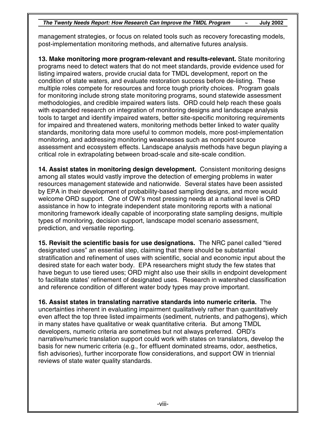management strategies, or focus on related tools such as recovery forecasting models, post-implementation monitoring methods, and alternative futures analysis.

**13. Make monitoring more program-relevant and results-relevant.** State monitoring programs need to detect waters that do not meet standards, provide evidence used for listing impaired waters, provide crucial data for TMDL development, report on the condition of state waters, and evaluate restoration success before de-listing. These multiple roles compete for resources and force tough priority choices. Program goals for monitoring include strong state monitoring programs, sound statewide assessment methodologies, and credible impaired waters lists. ORD could help reach these goals with expanded research on integration of monitoring designs and landscape analysis tools to target and identify impaired waters, better site-specific monitoring requirements for impaired and threatened waters, monitoring methods better linked to water quality standards, monitoring data more useful to common models, more post-implementation monitoring, and addressing monitoring weaknesses such as nonpoint source assessment and ecosystem effects. Landscape analysis methods have begun playing a critical role in extrapolating between broad-scale and site-scale condition.

**14. Assist states in monitoring design development.** Consistent monitoring designs among all states would vastly improve the detection of emerging problems in water resources management statewide and nationwide. Several states have been assisted by EPA in their development of probability-based sampling designs, and more would welcome ORD support. One of OW's most pressing needs at a national level is ORD assistance in how to integrate independent state monitoring reports with a national monitoring framework ideally capable of incorporating state sampling designs, multiple types of monitoring, decision support, landscape model scenario assessment, prediction, and versatile reporting.

**15. Revisit the scientific basis for use designations.** The NRC panel called "tiered designated uses" an essential step, claiming that there should be substantial stratification and refinement of uses with scientific, social and economic input about the desired state for each water body. EPA researchers might study the few states that have begun to use tiered uses; ORD might also use their skills in endpoint development to facilitate states' refinement of designated uses. Research in watershed classification and reference condition of different water body types may prove important.

**16. Assist states in translating narrative standards into numeric criteria.** The uncertainties inherent in evaluating impairment qualitatively rather than quantitatively even affect the top three listed impairments (sediment, nutrients, and pathogens), which in many states have qualitative or weak quantitative criteria. But among TMDL developers, numeric criteria are sometimes but not always preferred. ORD's narrative/numeric translation support could work with states on translators, develop the basis for new numeric criteria (e.g., for effluent dominated streams, odor, aesthetics, fish advisories), further incorporate flow considerations, and support OW in triennial reviews of state water quality standards.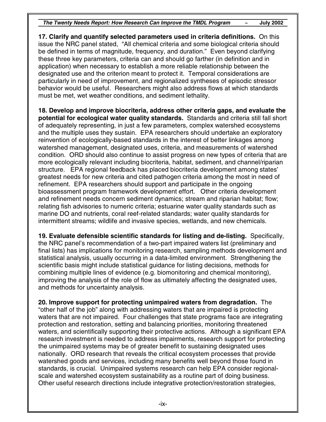**17. Clarify and quantify selected parameters used in criteria definitions.** On this issue the NRC panel stated, "All chemical criteria and some biological criteria should be defined in terms of magnitude, frequency, and duration." Even beyond clarifying these three key parameters, criteria can and should go farther (in definition and in application) when necessary to establish a more reliable relationship between the designated use and the criterion meant to protect it. Temporal considerations are particularly in need of improvement, and regionalized syntheses of episodic stressor behavior would be useful. Researchers might also address flows at which standards must be met, wet weather conditions, and sediment lethality.

**18. Develop and improve biocriteria, address other criteria gaps, and evaluate the potential for ecological water quality standards.** Standards and criteria still fall short of adequately representing, in just a few parameters, complex watershed ecosystems and the multiple uses they sustain. EPA researchers should undertake an exploratory reinvention of ecologically-based standards in the interest of better linkages among watershed management, designated uses, criteria, and measurements of watershed condition. ORD should also continue to assist progress on new types of criteria that are more ecologically relevant including biocriteria, habitat, sediment, and channel/riparian structure. EPA regional feedback has placed biocriteria development among states' greatest needs for new criteria and cited pathogen criteria among the most in need of refinement. EPA researchers should support and participate in the ongoing bioassessment program framework development effort. Other criteria development and refinement needs concern sediment dynamics; stream and riparian habitat; flow; relating fish advisories to numeric criteria; estuarine water quality standards such as marine DO and nutrients, coral reef-related standards; water quality standards for intermittent streams; wildlife and invasive species, wetlands, and new chemicals.

**19. Evaluate defensible scientific standards for listing and de-listing.** Specifically, the NRC panel's recommendation of a two-part impaired waters list (preliminary and final lists) has implications for monitoring research, sampling methods development and statistical analysis, usually occurring in a data-limited environment. Strengthening the scientific basis might include statistical guidance for listing decisions, methods for combining multiple lines of evidence (e.g. biomonitoring and chemical monitoring), improving the analysis of the role of flow as ultimately affecting the designated uses, and methods for uncertainty analysis.

**20. Improve support for protecting unimpaired waters from degradation.** The "other half of the job" along with addressing waters that are impaired is protecting waters that are not impaired. Four challenges that state programs face are integrating protection and restoration, setting and balancing priorities, monitoring threatened waters, and scientifically supporting their protective actions. Although a significant EPA research investment is needed to address impairments, research support for protecting the unimpaired systems may be of greater benefit to sustaining designated uses nationally. ORD research that reveals the critical ecosystem processes that provide watershed goods and services, including many benefits well beyond those found in standards, is crucial. Unimpaired systems research can help EPA consider regionalscale and watershed ecosystem sustainability as a routine part of doing business. Other useful research directions include integrative protection/restoration strategies,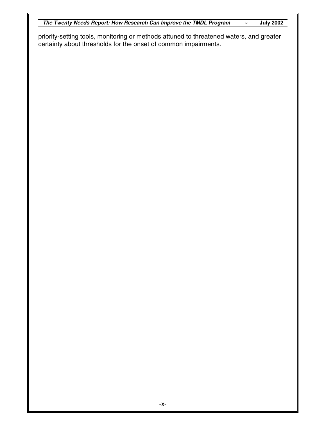*The Twenty Needs Report: How Research Can Improve the TMDL Program* **~ July 2002**

priority-setting tools, monitoring or methods attuned to threatened waters, and greater certainty about thresholds for the onset of common impairments.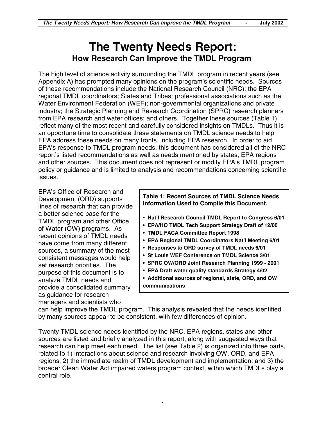## **The Twenty Needs Report: How Research Can Improve the TMDL Program**

The high level of science activity surrounding the TMDL program in recent years (see Appendix A) has prompted many opinions on the program's scientific needs. Sources of these recommendations include the National Research Council (NRC); the EPA regional TMDL coordinators; States and Tribes; professional associations such as the Water Environment Federation (WEF); non-governmental organizations and private industry; the Strategic Planning and Research Coordination (SPRC) research planners from EPA research and water offices; and others. Together these sources (Table 1) reflect many of the most recent and carefully considered insights on TMDLs. Thus it is an opportune time to consolidate these statements on TMDL science needs to help EPA address these needs on many fronts, including EPA research. In order to aid EPA's response to TMDL program needs, this document has considered all of the NRC report's listed recommendations as well as needs mentioned by states, EPA regions and other sources. This document does not represent or modify EPA's TMDL program policy or guidance and is limited to analysis and recommendations concerning scientific issues.

EPA's Office of Research and Development (ORD) supports lines of research that can provide a better science base for the TMDL program and other Office of Water (OW) programs. As recent opinions of TMDL needs have come from many different sources, a summary of the most consistent messages would help set research priorities. The purpose of this document is to analyze TMDL needs and provide a consolidated summary as guidance for research managers and scientists who

**Table 1: Recent Sources of TMDL Science Needs Information Used to Compile this Document.**

- **Nat'l Research Council TMDL Report to Congress 6/01**
- **EPA/HQ TMDL Tech Support Strategy Draft of 12/00**
- **TMDL FACA Committee Report 1998**
- **EPA Regional TMDL Coordinators Nat'l Meeting 6/01**
- **Responses to ORD survey of TMDL needs 6/01**
- **St Louis WEF Conference on TMDL Science 3/01**
- **SPRC OW/ORD Joint Research Planning 1999 2001**
- **EPA Draft water quality standards Strategy 4/02**
- **Additional sources of regional, state, ORD, and OW communications**

can help improve the TMDL program. This analysis revealed that the needs identified by many sources appear to be consistent, with few differences of opinion.

Twenty TMDL science needs identified by the NRC, EPA regions, states and other sources are listed and briefly analyzed in this report, along with suggested ways that research can help meet each need. The list (see Table 2) is organized into three parts, related to 1) interactions about science and research involving OW, ORD, and EPA regions; 2) the immediate realm of TMDL development and implementation; and 3) the broader Clean Water Act impaired waters program context, within which TMDLs play a central role.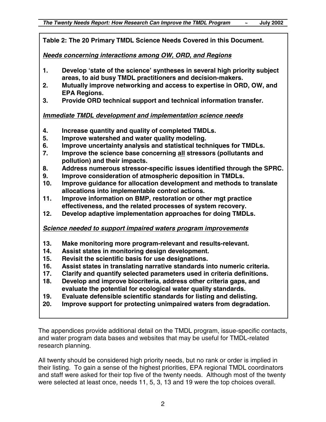**Table 2: The 20 Primary TMDL Science Needs Covered in this Document.**

*Needs concerning interactions among OW, ORD, and Regions*

- **1. Develop 'state of the science' syntheses in several high priority subject areas, to aid busy TMDL practitioners and decision-makers.**
- **2. Mutually improve networking and access to expertise in ORD, OW, and EPA Regions.**
- **3. Provide ORD technical support and technical information transfer.**

#### *Immediate TMDL development and implementation science needs*

- **4. Increase quantity and quality of completed TMDLs.**
- **5. Improve watershed and water quality modeling.**
- **6. Improve uncertainty analysis and statistical techniques for TMDLs.**
- **7. Improve the science base concerning all stressors (pollutants and pollution) and their impacts.**
- **8. Address numerous stressor-specific issues identified through the SPRC.**
- **9. Improve consideration of atmospheric deposition in TMDLs.**
- **10. Improve guidance for allocation development and methods to translate allocations into implementable control actions.**
- **11. Improve information on BMP, restoration or other mgt practice effectiveness, and the related processes of system recovery.**
- **12. Develop adaptive implementation approaches for doing TMDLs.**

#### *Science needed to support impaired waters program improvements*

- **13. Make monitoring more program-relevant and results-relevant.**
- **14. Assist states in monitoring design development.**
- **15. Revisit the scientific basis for use designations.**
- **16. Assist states in translating narrative standards into numeric criteria.**
- **17. Clarify and quantify selected parameters used in criteria definitions.**
- **18. Develop and improve biocriteria, address other criteria gaps, and evaluate the potential for ecological water quality standards.**
- **19. Evaluate defensible scientific standards for listing and delisting.**
- **20. Improve support for protecting unimpaired waters from degradation.**

The appendices provide additional detail on the TMDL program, issue-specific contacts, and water program data bases and websites that may be useful for TMDL-related research planning.

All twenty should be considered high priority needs, but no rank or order is implied in their listing. To gain a sense of the highest priorities, EPA regional TMDL coordinators and staff were asked for their top five of the twenty needs. Although most of the twenty were selected at least once, needs 11, 5, 3, 13 and 19 were the top choices overall.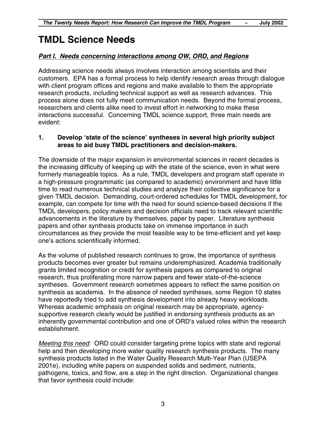## **TMDL Science Needs**

#### *Part I. Needs concerning interactions among OW, ORD, and Regions*

Addressing science needs always involves interaction among scientists and their customers. EPA has a formal process to help identify research areas through dialogue with client program offices and regions and make available to them the appropriate research products, including technical support as well as research advances. This process alone does not fully meet communication needs. Beyond the formal process, researchers and clients alike need to invest effort in networking to make these interactions successful. Concerning TMDL science support, three main needs are evident:

#### **1. Develop 'state of the science' syntheses in several high priority subject areas to aid busy TMDL practitioners and decision-makers.**

The downside of the major expansion in environmental sciences in recent decades is the increasing difficulty of keeping up with the state of the science, even in what were formerly manageable topics. As a rule, TMDL developers and program staff operate in a high-pressure programmatic (as compared to academic) environment and have little time to read numerous technical studies and analyze their collective significance for a given TMDL decision. Demanding, court-ordered schedules for TMDL development, for example, can compete for time with the need for sound science-based decisions if the TMDL developers, policy makers and decision officials need to track relevant scientific advancements in the literature by themselves, paper by paper. Literature synthesis papers and other synthesis products take on immense importance in such circumstances as they provide the most feasible way to be time-efficient and yet keep one's actions scientifically informed.

As the volume of published research continues to grow, the importance of synthesis products becomes ever greater but remains underemphasized. Academia traditionally grants limited recognition or credit for synthesis papers as compared to original research, thus proliferating more narrow papers and fewer state-of-the-science syntheses. Government research sometimes appears to reflect the same position on synthesis as academia. In the absence of needed syntheses, some Region 10 states have reportedly tried to add synthesis development into already heavy workloads. Whereas academic emphasis on original research may be appropriate, agencysupportive research clearly would be justified in endorsing synthesis products as an inherently governmental contribution and one of ORD's valued roles within the research establishment.

*Meeting this need:* ORD could consider targeting prime topics with state and regional help and then developing more water quality research synthesis products. The many synthesis products listed in the Water Quality Research Multi-Year Plan (USEPA 2001e), including white papers on suspended solids and sediment, nutrients, pathogens, toxics, and flow, are a step in the right direction. Organizational changes that favor synthesis could include: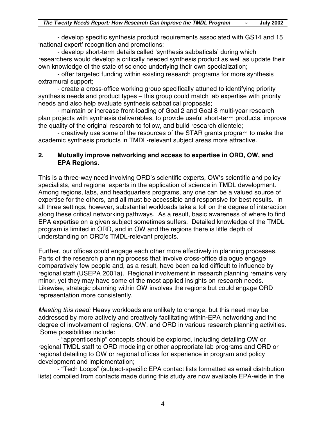- develop specific synthesis product requirements associated with GS14 and 15 'national expert' recognition and promotions;

- develop short-term details called 'synthesis sabbaticals' during which researchers would develop a critically needed synthesis product as well as update their own knowledge of the state of science underlying their own specialization;

- offer targeted funding within existing research programs for more synthesis extramural support;

- create a cross-office working group specifically attuned to identifying priority synthesis needs and product types – this group could match lab expertise with priority needs and also help evaluate synthesis sabbatical proposals;

- maintain or increase front-loading of Goal 2 and Goal 8 multi-year research plan projects with synthesis deliverables, to provide useful short-term products, improve the quality of the original research to follow, and build research clientele;

- creatively use some of the resources of the STAR grants program to make the academic synthesis products in TMDL-relevant subject areas more attractive.

#### **2. Mutually improve networking and access to expertise in ORD, OW, and EPA Regions.**

This is a three-way need involving ORD's scientific experts, OW's scientific and policy specialists, and regional experts in the application of science in TMDL development. Among regions, labs, and headquarters programs, any one can be a valued source of expertise for the others, and all must be accessible and responsive for best results. In all three settings, however, substantial workloads take a toll on the degree of interaction along these critical networking pathways. As a result, basic awareness of where to find EPA expertise on a given subject sometimes suffers. Detailed knowledge of the TMDL program is limited in ORD, and in OW and the regions there is little depth of understanding on ORD's TMDL-relevant projects.

Further, our offices could engage each other more effectively in planning processes. Parts of the research planning process that involve cross-office dialogue engage comparatively few people and, as a result, have been called difficult to influence by regional staff (USEPA 2001a). Regional involvement in research planning remains very minor, yet they may have some of the most applied insights on research needs. Likewise, strategic planning within OW involves the regions but could engage ORD representation more consistently.

*Meeting this need:* Heavy workloads are unlikely to change, but this need may be addressed by more actively and creatively facilitating within-EPA networking and the degree of involvement of regions, OW, and ORD in various research planning activities. Some possibilities include:

- "apprenticeship" concepts should be explored, including detailing OW or regional TMDL staff to ORD modeling or other appropriate lab programs and ORD or regional detailing to OW or regional offices for experience in program and policy development and implementation;

- "Tech Loops" (subject-specific EPA contact lists formatted as email distribution lists) compiled from contacts made during this study are now available EPA-wide in the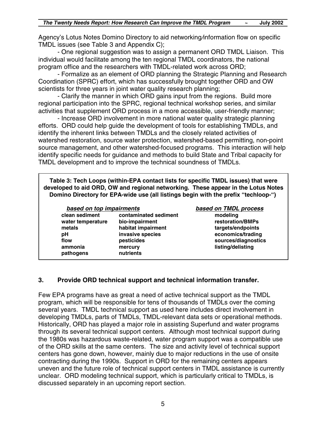Agency's Lotus Notes Domino Directory to aid networking*/*information flow on specific TMDL issues (see Table 3 and Appendix C);

- One regional suggestion was to assign a permanent ORD TMDL Liaison. This individual would facilitate among the ten regional TMDL coordinators, the national program office and the researchers with TMDL-related work across ORD;

- Formalize as an element of ORD planning the Strategic Planning and Research Coordination (SPRC) effort, which has successfully brought together ORD and OW scientists for three years in joint water quality research planning;

- Clarify the manner in which ORD gains input from the regions. Build more regional participation into the SPRC, regional technical workshop series, and similar activities that supplement ORD process in a more accessible, user-friendly manner;

- Increase ORD involvement in more national water quality strategic planning efforts. ORD could help guide the development of tools for establishing TMDLs, and identify the inherent links between TMDLs and the closely related activities of watershed restoration, source water protection, watershed-based permitting, non-point source management, and other watershed-focused programs. This interaction will help identify specific needs for guidance and methods to build State and Tribal capacity for TMDL development and to improve the technical soundness of TMDLs.

**Table 3: Tech Loops (within-EPA contact lists for specific TMDL issues) that were developed to aid ORD, OW and regional networking. These appear in the Lotus Notes Domino Directory for EPA-wide use (all listings begin with the prefix "techloop-")**

| based on top impairments |                       | based on TMDL process |
|--------------------------|-----------------------|-----------------------|
| clean sediment           | contaminated sediment | modeling              |
| water temperature        | bio-impairment        | restoration/BMPs      |
| metals                   | habitat impairment    | targets/endpoints     |
| рH                       | invasive species      | economics/trading     |
| flow                     | pesticides            | sources/diagnostics   |
| ammonia                  | mercury               | listing/delisting     |
| pathogens                | nutrients             |                       |

#### **3. Provide ORD technical support and technical information transfer.**

Few EPA programs have as great a need of active technical support as the TMDL program, which will be responsible for tens of thousands of TMDLs over the coming several years. TMDL technical support as used here includes direct involvement in developing TMDLs, parts of TMDLs, TMDL-relevant data sets or operational methods. Historically, ORD has played a major role in assisting Superfund and water programs through its several technical support centers. Although most technical support during the 1980s was hazardous waste-related, water program support was a compatible use of the ORD skills at the same centers. The size and activity level of technical support centers has gone down, however, mainly due to major reductions in the use of onsite contracting during the 1990s. Support in ORD for the remaining centers appears uneven and the future role of technical support centers in TMDL assistance is currently unclear. ORD modeling technical support, which is particularly critical to TMDLs, is discussed separately in an upcoming report section.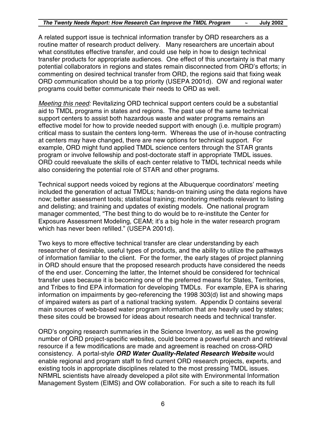A related support issue is technical information transfer by ORD researchers as a routine matter of research product delivery. Many researchers are uncertain about what constitutes effective transfer, and could use help in how to design technical transfer products for appropriate audiences. One effect of this uncertainty is that many potential collaborators in regions and states remain disconnected from ORD's efforts; in commenting on desired technical transfer from ORD, the regions said that fixing weak ORD communication should be a top priority (USEPA 2001d). OW and regional water programs could better communicate their needs to ORD as well.

*Meeting this need:* Revitalizing ORD technical support centers could be a substantial aid to TMDL programs in states and regions. The past use of the same technical support centers to assist both hazardous waste and water programs remains an effective model for how to provide needed support with enough (i.e. multiple program) critical mass to sustain the centers long-term. Whereas the use of in-house contracting at centers may have changed, there are new options for technical support. For example, ORD might fund applied TMDL science centers through the STAR grants program or involve fellowship and post-doctorate staff in appropriate TMDL issues. ORD could reevaluate the skills of each center relative to TMDL technical needs while also considering the potential role of STAR and other programs.

Technical support needs voiced by regions at the Albuquerque coordinators' meeting included the generation of actual TMDLs; hands-on training using the data regions have now; better assessment tools; statistical training; monitoring methods relevant to listing and delisting; and training and updates of existing models. One national program manager commented, "The best thing to do would be to re-institute the Center for Exposure Assessment Modeling, CEAM; it's a big hole in the water research program which has never been refilled." (USEPA 2001d).

Two keys to more effective technical transfer are clear understanding by each researcher of desirable, useful types of products, and the ability to utilize the pathways of information familiar to the client. For the former, the early stages of project planning in ORD should ensure that the proposed research products have considered the needs of the end user. Concerning the latter, the Internet should be considered for technical transfer uses because it is becoming one of the preferred means for States, Territories, and Tribes to find EPA information for developing TMDLs. For example, EPA is sharing information on impairments by geo-referencing the 1998 303(d) list and showing maps of impaired waters as part of a national tracking system. Appendix D contains several main sources of web-based water program information that are heavily used by states; these sites could be browsed for ideas about research needs and technical transfer.

ORD's ongoing research summaries in the Science Inventory, as well as the growing number of ORD project-specific websites, could become a powerful search and retrieval resource if a few modifications are made and agreement is reached on cross-ORD consistency. A portal-style *ORD Water Quality-Related Research Website* would enable regional and program staff to find current ORD research projects, experts, and existing tools in appropriate disciplines related to the most pressing TMDL issues. NRMRL scientists have already developed a pilot site with Environmental Information Management System (EIMS) and OW collaboration. For such a site to reach its full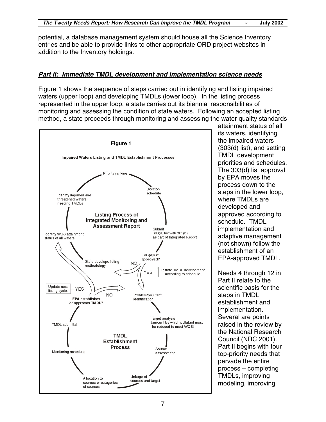potential, a database management system should house all the Science Inventory entries and be able to provide links to other appropriate ORD project websites in addition to the Inventory holdings.

#### *Part II: Immediate TMDL development and implementation science needs*

Figure 1 shows the sequence of steps carried out in identifying and listing impaired waters (upper loop) and developing TMDLs (lower loop). In the listing process represented in the upper loop, a state carries out its biennial responsibilities of monitoring and assessing the condition of state waters. Following an accepted listing method, a state proceeds through monitoring and assessing the water quality standards



attainment status of all its waters, identifying the impaired waters (303(d) list), and setting TMDL development priorities and schedules. The 303(d) list approval by EPA moves the process down to the steps in the lower loop, where TMDLs are developed and approved according to schedule. TMDL implementation and adaptive management (not shown) follow the establishment of an EPA-approved TMDL.

Needs 4 through 12 in Part II relate to the scientific basis for the steps in TMDL establishment and implementation. Several are points raised in the review by the National Research Council (NRC 2001). Part II begins with four top-priority needs that pervade the entire process – completing TMDLs, improving modeling, improving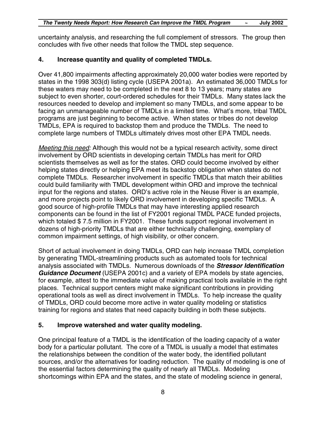uncertainty analysis, and researching the full complement of stressors. The group then concludes with five other needs that follow the TMDL step sequence.

#### **4. Increase quantity and quality of completed TMDLs.**

Over 41,800 impairments affecting approximately 20,000 water bodies were reported by states in the 1998 303(d) listing cycle (USEPA 2001a). An estimated 36,000 TMDLs for these waters may need to be completed in the next 8 to 13 years; many states are subject to even shorter, court-ordered schedules for their TMDLs. Many states lack the resources needed to develop and implement so many TMDLs, and some appear to be facing an unmanageable number of TMDLs in a limited time. What's more, tribal TMDL programs are just beginning to become active. When states or tribes do not develop TMDLs, EPA is required to backstop them and produce the TMDLs. The need to complete large numbers of TMDLs ultimately drives most other EPA TMDL needs.

*Meeting this need:* Although this would not be a typical research activity, some direct involvement by ORD scientists in developing certain TMDLs has merit for ORD scientists themselves as well as for the states. ORD could become involved by either helping states directly or helping EPA meet its backstop obligation when states do not complete TMDLs. Researcher involvement in specific TMDLs that match their abilities could build familiarity with TMDL development within ORD and improve the technical input for the regions and states. ORD's active role in the Neuse River is an example, and more projects point to likely ORD involvement in developing specific TMDLs. A good source of high-profile TMDLs that may have interesting applied research components can be found in the list of FY2001 regional TMDL PACE funded projects, which totaled \$7.5 million in FY2001. These funds support regional involvement in dozens of high-priority TMDLs that are either technically challenging, exemplary of common impairment settings, of high visibility, or other concern.

Short of actual involvement in doing TMDLs, ORD can help increase TMDL completion by generating TMDL-streamlining products such as automated tools for technical analysis associated with TMDLs. Numerous downloads of the *Stressor Identification Guidance Document* (USEPA 2001c) and a variety of EPA models by state agencies, for example, attest to the immediate value of making practical tools available in the right places. Technical support centers might make significant contributions in providing operational tools as well as direct involvement in TMDLs. To help increase the quality of TMDLs, ORD could become more active in water quality modeling or statistics training for regions and states that need capacity building in both these subjects.

#### **5. Improve watershed and water quality modeling.**

One principal feature of a TMDL is the identification of the loading capacity of a water body for a particular pollutant. The core of a TMDL is usually a model that estimates the relationships between the condition of the water body, the identified pollutant sources, and/or the alternatives for loading reduction. The quality of modeling is one of the essential factors determining the quality of nearly all TMDLs. Modeling shortcomings within EPA and the states, and the state of modeling science in general,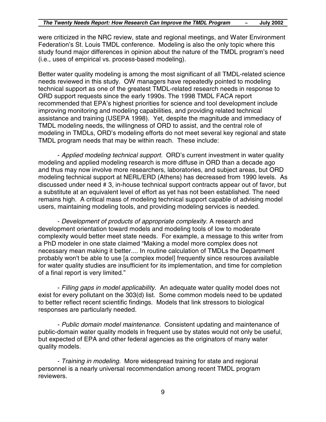were criticized in the NRC review, state and regional meetings, and Water Environment Federation's St. Louis TMDL conference. Modeling is also the only topic where this study found major differences in opinion about the nature of the TMDL program's need (i.e., uses of empirical vs. process-based modeling).

Better water quality modeling is among the most significant of all TMDL-related science needs reviewed in this study. OW managers have repeatedly pointed to modeling technical support as one of the greatest TMDL-related research needs in response to ORD support requests since the early 1990s. The 1998 TMDL FACA report recommended that EPA's highest priorities for science and tool development include improving monitoring and modeling capabilities, and providing related technical assistance and training (USEPA 1998). Yet, despite the magnitude and immediacy of TMDL modeling needs, the willingness of ORD to assist, and the central role of modeling in TMDLs, ORD's modeling efforts do not meet several key regional and state TMDL program needs that may be within reach. These include:

- *Applied modeling technical support.* ORD's current investment in water quality modeling and applied modeling research is more diffuse in ORD than a decade ago and thus may now involve more researchers, laboratories, and subject areas, but ORD modeling technical support at NERL/ERD (Athens) has decreased from 1990 levels. As discussed under need # 3, in-house technical support contracts appear out of favor, but a substitute at an equivalent level of effort as yet has not been established. The need remains high. A critical mass of modeling technical support capable of advising model users, maintaining modeling tools, and providing modeling services is needed.

- *Development of products of appropriate complexity.* A research and development orientation toward models and modeling tools of low to moderate complexity would better meet state needs. For example, a message to this writer from a PhD modeler in one state claimed "Making a model more complex does not necessary mean making it better.... In routine calculation of TMDLs the Department probably won't be able to use [a complex model] frequently since resources available for water quality studies are insufficient for its implementation, and time for completion of a final report is very limited."

- *Filling gaps in model applicability.* An adequate water quality model does not exist for every pollutant on the 303(d) list. Some common models need to be updated to better reflect recent scientific findings. Models that link stressors to biological responses are particularly needed.

- *Public domain model maintenance.* Consistent updating and maintenance of public-domain water quality models in frequent use by states would not only be useful, but expected of EPA and other federal agencies as the originators of many water quality models.

- *Training in modeling.* More widespread training for state and regional personnel is a nearly universal recommendation among recent TMDL program reviewers.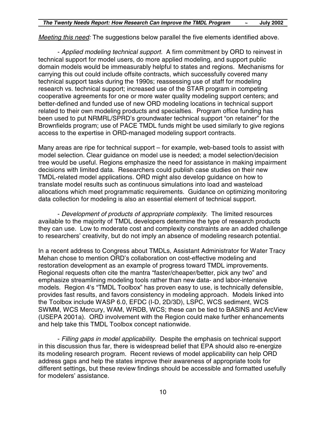*Meeting this need:* The suggestions below parallel the five elements identified above.

- *Applied modeling technical support.* A firm commitment by ORD to reinvest in technical support for model users, do more applied modeling, and support public domain models would be immeasurably helpful to states and regions. Mechanisms for carrying this out could include offsite contracts, which successfully covered many technical support tasks during the 1990s; reassessing use of staff for modeling research vs. technical support; increased use of the STAR program in competing cooperative agreements for one or more water quality modeling support centers; and better-defined and funded use of new ORD modeling locations in technical support related to their own modeling products and specialties. Program office funding has been used to put NRMRL/SPRD's groundwater technical support "on retainer" for the Brownfields program; use of PACE TMDL funds might be used similarly to give regions access to the expertise in ORD-managed modeling support contracts.

Many areas are ripe for technical support – for example, web-based tools to assist with model selection. Clear guidance on model use is needed; a model selection/decision tree would be useful. Regions emphasize the need for assistance in making impairment decisions with limited data. Researchers could publish case studies on their new TMDL-related model applications. ORD might also develop guidance on how to translate model results such as continuous simulations into load and wasteload allocations which meet programmatic requirements. Guidance on optimizing monitoring data collection for modeling is also an essential element of technical support.

- *Development of products of appropriate complexity.* The limited resources available to the majority of TMDL developers determine the type of research products they can use. Low to moderate cost and complexity constraints are an added challenge to researchers' creativity, but do not imply an absence of modeling research potential.

In a recent address to Congress about TMDLs, Assistant Administrator for Water Tracy Mehan chose to mention ORD's collaboration on cost-effective modeling and restoration development as an example of progress toward TMDL improvements. Regional requests often cite the mantra "faster/cheaper/better, pick any two" and emphasize streamlining modeling tools rather than new data- and labor-intensive models. Region 4's "TMDL Toolbox" has proven easy to use, is technically defensible, provides fast results, and favors consistency in modeling approach. Models linked into the Toolbox include WASP 6.0, EFDC (I-D, 2D/3D), LSPC, WCS sediment, WCS SWMM, WCS Mercury, WAM, WRDB, WCS; these can be tied to BASINS and ArcView (USEPA 2001a). ORD involvement with the Region could make further enhancements and help take this TMDL Toolbox concept nationwide.

- *Filling gaps in model applicability.* Despite the emphasis on technical support in this discussion thus far, there is widespread belief that EPA should also re-energize its modeling research program. Recent reviews of model applicability can help ORD address gaps and help the states improve their awareness of appropriate tools for different settings, but these review findings should be accessible and formatted usefully for modelers' assistance.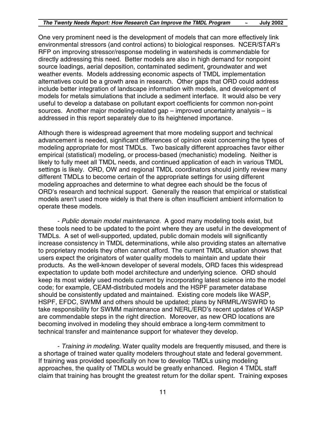One very prominent need is the development of models that can more effectively link environmental stressors (and control actions) to biological responses. NCER/STAR's RFP on improving stressor/response modeling in watersheds is commendable for directly addressing this need. Better models are also in high demand for nonpoint source loadings, aerial deposition, contaminated sediment, groundwater and wet weather events. Models addressing economic aspects of TMDL implementation alternatives could be a growth area in research. Other gaps that ORD could address include better integration of landscape information with models, and development of models for metals simulations that include a sediment interface. It would also be very useful to develop a database on pollutant export coefficients for common non-point sources. Another major modeling-related gap – improved uncertainty analysis – is addressed in this report separately due to its heightened importance.

Although there is widespread agreement that more modeling support and technical advancement is needed, significant differences of opinion exist concerning the types of modeling appropriate for most TMDLs. Two basically different approaches favor either empirical (statistical) modeling, or process-based (mechanistic) modeling. Neither is likely to fully meet all TMDL needs, and continued application of each in various TMDL settings is likely. ORD, OW and regional TMDL coordinators should jointly review many different TMDLs to become certain of the appropriate settings for using different modeling approaches and determine to what degree each should be the focus of ORD's research and technical support. Generally the reason that empirical or statistical models aren't used more widely is that there is often insufficient ambient information to operate these models.

- *Public domain model maintenance.* A good many modeling tools exist, but these tools need to be updated to the point where they are useful in the development of TMDLs. A set of well-supported, updated, public domain models will significantly increase consistency in TMDL determinations, while also providing states an alternative to proprietary models they often cannot afford. The current TMDL situation shows that users expect the originators of water quality models to maintain and update their products. As the well-known developer of several models, ORD faces this widespread expectation to update both model architecture and underlying science. ORD should keep its most widely used models current by incorporating latest science into the model code; for example, CEAM-distributed models and the HSPF parameter database should be consistently updated and maintained. Existing core models like WASP, HSPF, EFDC, SWMM and others should be updated; plans by NRMRL/WSWRD to take responsibility for SWMM maintenance and NERL/ERD's recent updates of WASP are commendable steps in the right direction. Moreover, as new ORD locations are becoming involved in modeling they should embrace a long-term commitment to technical transfer and maintenance support for whatever they develop.

- *Training in modeling.* Water quality models are frequently misused, and there is a shortage of trained water quality modelers throughout state and federal government. If training was provided specifically on how to develop TMDLs using modeling approaches, the quality of TMDLs would be greatly enhanced. Region 4 TMDL staff claim that training has brought the greatest return for the dollar spent. Training exposes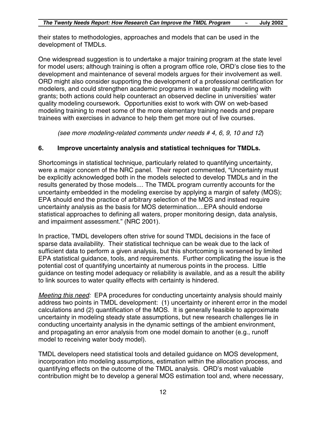their states to methodologies, approaches and models that can be used in the development of TMDLs.

One widespread suggestion is to undertake a major training program at the state level for model users; although training is often a program office role, ORD's close ties to the development and maintenance of several models argues for their involvement as well. ORD might also consider supporting the development of a professional certification for modelers, and could strengthen academic programs in water quality modeling with grants; both actions could help counteract an observed decline in universities' water quality modeling coursework. Opportunities exist to work with OW on web-based modeling training to meet some of the more elementary training needs and prepare trainees with exercises in advance to help them get more out of live courses.

*(see more modeling-related comments under needs # 4, 6, 9, 10 and 12*)

#### **6. Improve uncertainty analysis and statistical techniques for TMDLs.**

Shortcomings in statistical technique, particularly related to quantifying uncertainty, were a major concern of the NRC panel. Their report commented, "Uncertainty must be explicitly acknowledged both in the models selected to develop TMDLs and in the results generated by those models.... The TMDL program currently accounts for the uncertainty embedded in the modeling exercise by applying a margin of safety (MOS); EPA should end the practice of arbitrary selection of the MOS and instead require uncertainty analysis as the basis for MOS determination....EPA should endorse statistical approaches to defining all waters, proper monitoring design, data analysis, and impairment assessment." (NRC 2001).

In practice, TMDL developers often strive for sound TMDL decisions in the face of sparse data availability. Their statistical technique can be weak due to the lack of sufficient data to perform a given analysis, but this shortcoming is worsened by limited EPA statistical guidance, tools, and requirements. Further complicating the issue is the potential cost of quantifying uncertainty at numerous points in the process. Little guidance on testing model adequacy or reliability is available, and as a result the ability to link sources to water quality effects with certainty is hindered.

*Meeting this need:* EPA procedures for conducting uncertainty analysis should mainly address two points in TMDL development: (1) uncertainty or inherent error in the model calculations and (2) quantification of the MOS. It is generally feasible to approximate uncertainty in modeling steady state assumptions, but new research challenges lie in conducting uncertainty analysis in the dynamic settings of the ambient environment, and propagating an error analysis from one model domain to another (e.g., runoff model to receiving water body model).

TMDL developers need statistical tools and detailed guidance on MOS development, incorporation into modeling assumptions, estimation within the allocation process, and quantifying effects on the outcome of the TMDL analysis. ORD's most valuable contribution might be to develop a general MOS estimation tool and, where necessary,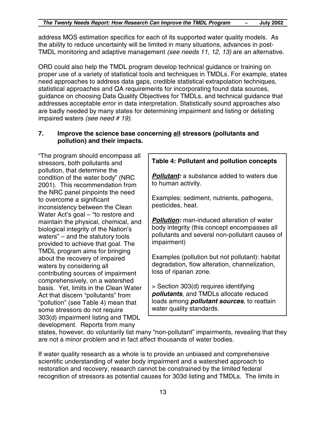address MOS estimation specifics for each of its supported water quality models. As the ability to reduce uncertainty will be limited in many situations, advances in post-TMDL monitoring and adaptive management *(see needs 11, 12, 13)* are an alternative.

ORD could also help the TMDL program develop technical guidance or training on proper use of a variety of statistical tools and techniques in TMDLs. For example, states need approaches to address data gaps, credible statistical extrapolation techniques, statistical approaches and QA requirements for incorporating found data sources, guidance on choosing Data Quality Objectives for TMDLs, and technical guidance that addresses acceptable error in data interpretation. Statistically sound approaches also are badly needed by many states for determining impairment and listing or delisting impaired waters *(see need # 19).*

#### **7. Improve the science base concerning all stressors (pollutants and pollution) and their impacts.**

"The program should encompass all stressors, both pollutants and pollution, that determine the condition of the water body" (NRC 2001). This recommendation from the NRC panel pinpoints the need to overcome a significant inconsistency between the Clean Water Act's goal – "to restore and maintain the physical, chemical, and biological integrity of the Nation's waters" – and the statutory tools provided to achieve that goal. The TMDL program aims for bringing about the recovery of impaired waters by considering all contributing sources of impairment comprehensively, on a watershed basis. Yet, limits in the Clean Water Act that discern "pollutants" from "pollution" (see Table 4) mean that some stressors do not require 303(d) impairment listing and TMDL development. Reports from many

**Table 4: Pollutant and pollution concepts**

*Pollutant:* a substance added to waters due to human activity.

Examples: sediment, nutrients, pathogens, pesticides, heat.

*Pollution:* man-induced alteration of water body integrity (this concept encompasses all pollutants and several non-pollutant causes of impairment)

Examples (pollution but not pollutant): habitat degradation, flow alteration, channelization, loss of riparian zone.

> Section 303(d) requires identifying *pollutants*, and TMDLs allocate reduced loads among *pollutant sources*, to reattain water quality standards.

states, however, do voluntarily list many "non-pollutant" impairments, revealing that they are not a minor problem and in fact affect thousands of water bodies.

If water quality research as a whole is to provide an unbiased and comprehensive scientific understanding of water body impairment and a watershed approach to restoration and recovery, research cannot be constrained by the limited federal recognition of stressors as potential causes for 303d listing and TMDLs. The limits in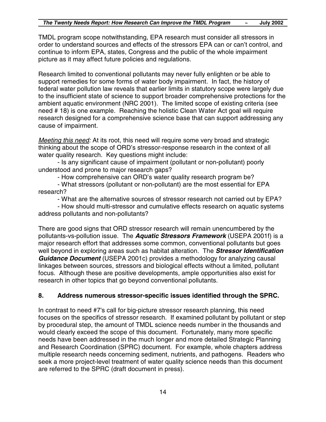TMDL program scope notwithstanding, EPA research must consider all stressors in order to understand sources and effects of the stressors EPA can or can't control, and continue to inform EPA, states, Congress and the public of the whole impairment picture as it may affect future policies and regulations.

Research limited to conventional pollutants may never fully enlighten or be able to support remedies for some forms of water body impairment. In fact, the history of federal water pollution law reveals that earlier limits in statutory scope were largely due to the insufficient state of science to support broader comprehensive protections for the ambient aquatic environment (NRC 2001). The limited scope of existing criteria (see need # 18) is one example. Reaching the holistic Clean Water Act goal will require research designed for a comprehensive science base that can support addressing any cause of impairment.

*Meeting this need:* At its root, this need will require some very broad and strategic thinking about the scope of ORD's stressor-response research in the context of all water quality research. Key questions might include:

- Is any significant cause of impairment (pollutant or non-pollutant) poorly understood and prone to major research gaps?

- How comprehensive can ORD's water quality research program be?

- What stressors (pollutant or non-pollutant) are the most essential for EPA research?

- What are the alternative sources of stressor research not carried out by EPA?

- How should multi-stressor and cumulative effects research on aquatic systems address pollutants and non-pollutants?

There are good signs that ORD stressor research will remain unencumbered by the pollutants-vs-pollution issue. The *Aquatic Stressors Framework* (USEPA 2001f) is a major research effort that addresses some common, conventional pollutants but goes well beyond in exploring areas such as habitat alteration. The *Stressor Identification Guidance Document* (USEPA 2001c) provides a methodology for analyzing causal linkages between sources, stressors and biological effects without a limited, pollutant focus. Although these are positive developments, ample opportunities also exist for research in other topics that go beyond conventional pollutants.

#### **8. Address numerous stressor-specific issues identified through the SPRC.**

In contrast to need #7's call for big-picture stressor research planning, this need focuses on the specifics of stressor research. If examined pollutant by pollutant or step by procedural step, the amount of TMDL science needs number in the thousands and would clearly exceed the scope of this document. Fortunately, many more specific needs have been addressed in the much longer and more detailed Strategic Planning and Research Coordination (SPRC) document. For example, whole chapters address multiple research needs concerning sediment, nutrients, and pathogens. Readers who seek a more project-level treatment of water quality science needs than this document are referred to the SPRC (draft document in press).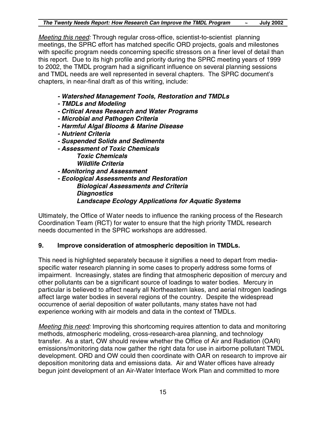*Meeting this need:* Through regular cross-office, scientist-to-scientist planning meetings, the SPRC effort has matched specific ORD projects, goals and milestones with specific program needs concerning specific stressors on a finer level of detail than this report. Due to its high profile and priority during the SPRC meeting years of 1999 to 2002, the TMDL program had a significant influence on several planning sessions and TMDL needs are well represented in several chapters. The SPRC document's chapters, in near-final draft as of this writing, include:

- *Watershed Management Tools, Restoration and TMDLs*
- *TMDLs and Modeling*
- *Critical Areas Research and Water Programs*
- *Microbial and Pathogen Criteria*
- *Harmful Algal Blooms & Marine Disease*
- *Nutrient Criteria*
- *Suspended Solids and Sediments*
- *Assessment of Toxic Chemicals Toxic Chemicals*
	- *Wildlife Criteria*
- *Monitoring and Assessment*
- *Ecological Assessments and Restoration Biological Assessments and Criteria Diagnostics Landscape Ecology Applications for Aquatic Systems*

Ultimately, the Office of Water needs to influence the ranking process of the Research Coordination Team (RCT) for water to ensure that the high priority TMDL research needs documented in the SPRC workshops are addressed.

#### **9. Improve consideration of atmospheric deposition in TMDLs.**

This need is highlighted separately because it signifies a need to depart from mediaspecific water research planning in some cases to properly address some forms of impairment. Increasingly, states are finding that atmospheric deposition of mercury and other pollutants can be a significant source of loadings to water bodies. Mercury in particular is believed to affect nearly all Northeastern lakes, and aerial nitrogen loadings affect large water bodies in several regions of the country. Despite the widespread occurrence of aerial deposition of water pollutants, many states have not had experience working with air models and data in the context of TMDLs.

*Meeting this need:* Improving this shortcoming requires attention to data and monitoring methods, atmospheric modeling, cross-research-area planning, and technology transfer. As a start, OW should review whether the Office of Air and Radiation (OAR) emissions/monitoring data now gather the right data for use in airborne pollutant TMDL development. ORD and OW could then coordinate with OAR on research to improve air deposition monitoring data and emissions data. Air and Water offices have already begun joint development of an Air-Water Interface Work Plan and committed to more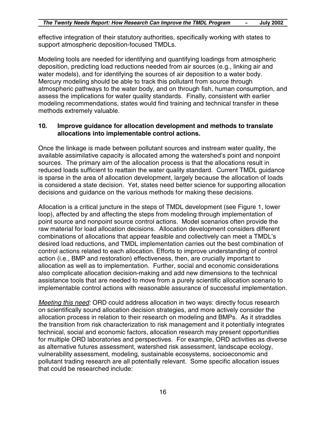effective integration of their statutory authorities, specifically working with states to support atmospheric deposition-focused TMDLs.

Modeling tools are needed for identifying and quantifying loadings from atmospheric deposition, predicting load reductions needed from air sources (e.g., linking air and water models), and for identifying the sources of air deposition to a water body. Mercury modeling should be able to track this pollutant from source through atmospheric pathways to the water body, and on through fish, human consumption, and assess the implications for water quality standards. Finally, consistent with earlier modeling recommendations, states would find training and technical transfer in these methods extremely valuable.

#### **10. Improve guidance for allocation development and methods to translate allocations into implementable control actions.**

Once the linkage is made between pollutant sources and instream water quality, the available assimilative capacity is allocated among the watershed's point and nonpoint sources. The primary aim of the allocation process is that the allocations result in reduced loads sufficient to reattain the water quality standard. Current TMDL guidance is sparse in the area of allocation development, largely because the allocation of loads is considered a state decision. Yet, states need better science for supporting allocation decisions and guidance on the various methods for making these decisions.

Allocation is a critical juncture in the steps of TMDL development (see Figure 1, lower loop), affected by and affecting the steps from modeling through implementation of point source and nonpoint source control actions. Model scenarios often provide the raw material for load allocation decisions. Allocation development considers different combinations of allocations that appear feasible and collectively can meet a TMDL's desired load reductions, and TMDL implementation carries out the best combination of control actions related to each allocation. Efforts to improve understanding of control action (i.e., BMP and restoration) effectiveness, then, are crucially important to allocation as well as to implementation. Further, social and economic considerations also complicate allocation decision-making and add new dimensions to the technical assistance tools that are needed to move from a purely scientific allocation scenario to implementable control actions with reasonable assurance of successful implementation.

*Meeting this need:* ORD could address allocation in two ways: directly focus research on scientifically sound allocation decision strategies, and more actively consider the allocation process in relation to their research on modeling and BMPs. As it straddles the transition from risk characterization to risk management and it potentially integrates technical, social and economic factors, allocation research may present opportunities for multiple ORD laboratories and perspectives. For example, ORD activities as diverse as alternative futures assessment, watershed risk assessment, landscape ecology, vulnerability assessment, modeling, sustainable ecosystems, socioeconomic and pollutant trading research are all potentially relevant. Some specific allocation issues that could be researched include: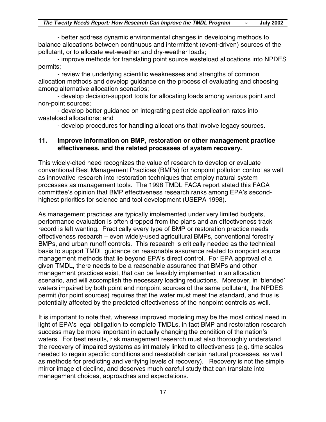- better address dynamic environmental changes in developing methods to balance allocations between continuous and intermittent (event-driven) sources of the pollutant, or to allocate wet-weather and dry-weather loads;

- improve methods for translating point source wasteload allocations into NPDES permits;

- review the underlying scientific weaknesses and strengths of common allocation methods and develop guidance on the process of evaluating and choosing among alternative allocation scenarios;

- develop decision-support tools for allocating loads among various point and non-point sources;

- develop better guidance on integrating pesticide application rates into wasteload allocations; and

- develop procedures for handling allocations that involve legacy sources.

#### **11. Improve information on BMP, restoration or other management practice effectiveness, and the related processes of system recovery.**

This widely-cited need recognizes the value of research to develop or evaluate conventional Best Management Practices (BMPs) for nonpoint pollution control as well as innovative research into restoration techniques that employ natural system processes as management tools. The 1998 TMDL FACA report stated this FACA committee's opinion that BMP effectiveness research ranks among EPA's secondhighest priorities for science and tool development (USEPA 1998).

As management practices are typically implemented under very limited budgets, performance evaluation is often dropped from the plans and an effectiveness track record is left wanting. Practically every type of BMP or restoration practice needs effectiveness research – even widely-used agricultural BMPs, conventional forestry BMPs, and urban runoff controls. This research is critically needed as the technical basis to support TMDL guidance on reasonable assurance related to nonpoint source management methods that lie beyond EPA's direct control. For EPA approval of a given TMDL, there needs to be a reasonable assurance that BMPs and other management practices exist, that can be feasibly implemented in an allocation scenario, and will accomplish the necessary loading reductions. Moreover, in 'blended' waters impaired by both point and nonpoint sources of the same pollutant, the NPDES permit (for point sources) requires that the water must meet the standard, and thus is potentially affected by the predicted effectiveness of the nonpoint controls as well.

It is important to note that, whereas improved modeling may be the most critical need in light of EPA's legal obligation to complete TMDLs, in fact BMP and restoration research success may be more important in actually changing the condition of the nation's waters. For best results, risk management research must also thoroughly understand the recovery of impaired systems as intimately linked to effectiveness (e.g. time scales needed to regain specific conditions and reestablish certain natural processes, as well as methods for predicting and verifying levels of recovery). Recovery is not the simple mirror image of decline, and deserves much careful study that can translate into management choices, approaches and expectations.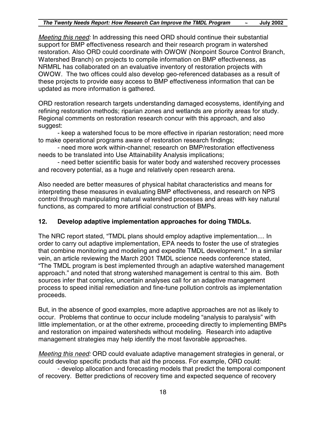*Meeting this need:* In addressing this need ORD should continue their substantial support for BMP effectiveness research and their research program in watershed restoration. Also ORD could coordinate with OWOW (Nonpoint Source Control Branch, Watershed Branch) on projects to compile information on BMP effectiveness, as NRMRL has collaborated on an evaluative inventory of restoration projects with OWOW. The two offices could also develop geo-referenced databases as a result of these projects to provide easy access to BMP effectiveness information that can be updated as more information is gathered.

ORD restoration research targets understanding damaged ecosystems, identifying and refining restoration methods; riparian zones and wetlands are priority areas for study. Regional comments on restoration research concur with this approach, and also suggest:

- keep a watershed focus to be more effective in riparian restoration; need more to make operational programs aware of restoration research findings;

- need more work within-channel; research on BMP/restoration effectiveness needs to be translated into Use Attainability Analysis implications;

- need better scientific basis for water body and watershed recovery processes and recovery potential, as a huge and relatively open research arena.

Also needed are better measures of physical habitat characteristics and means for interpreting these measures in evaluating BMP effectiveness, and research on NPS control through manipulating natural watershed processes and areas with key natural functions, as compared to more artificial construction of BMPs.

#### **12. Develop adaptive implementation approaches for doing TMDLs.**

The NRC report stated, "TMDL plans should employ adaptive implementation.... In order to carry out adaptive implementation, EPA needs to foster the use of strategies that combine monitoring and modeling and expedite TMDL development." In a similar vein, an article reviewing the March 2001 TMDL science needs conference stated, "The TMDL program is best implemented through an adaptive watershed management approach." and noted that strong watershed management is central to this aim. Both sources infer that complex, uncertain analyses call for an adaptive management process to speed initial remediation and fine-tune pollution controls as implementation proceeds.

But, in the absence of good examples, more adaptive approaches are not as likely to occur. Problems that continue to occur include modeling "analysis to paralysis" with little implementation, or at the other extreme, proceeding directly to implementing BMPs and restoration on impaired watersheds without modeling. Research into adaptive management strategies may help identify the most favorable approaches.

*Meeting this need:* ORD could evaluate adaptive management strategies in general, or could develop specific products that aid the process. For example, ORD could:

- develop allocation and forecasting models that predict the temporal component of recovery. Better predictions of recovery time and expected sequence of recovery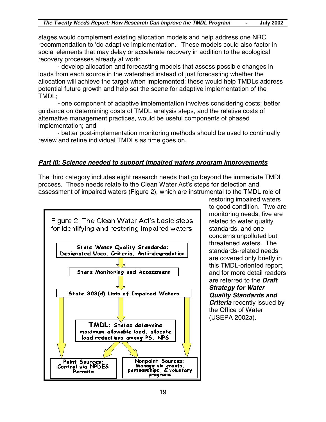stages would complement existing allocation models and help address one NRC recommendation to 'do adaptive implementation.' These models could also factor in social elements that may delay or accelerate recovery in addition to the ecological recovery processes already at work;

- develop allocation and forecasting models that assess possible changes in loads from each source in the watershed instead of just forecasting whether the allocation will achieve the target when implemented; these would help TMDLs address potential future growth and help set the scene for adaptive implementation of the TMDL;

*-* one component of adaptive implementation involves considering costs; better guidance on determining costs of TMDL analysis steps, and the relative costs of alternative management practices, would be useful components of phased implementation; and

- better post-implementation monitoring methods should be used to continually review and refine individual TMDLs as time goes on.

#### *Part III: Science needed to support impaired waters program improvements*

The third category includes eight research needs that go beyond the immediate TMDL process. These needs relate to the Clean Water Act's steps for detection and assessment of impaired waters (Figure 2), which are instrumental to the TMDL role of



restoring impaired waters to good condition. Two are monitoring needs, five are related to water quality standards, and one concerns unpolluted but threatened waters. The standards-related needs are covered only briefly in this TMDL-oriented report, and for more detail readers are referred to the *Draft Strategy for Water Quality Standards and Criteria* recently issued by the Office of Water (USEPA 2002a).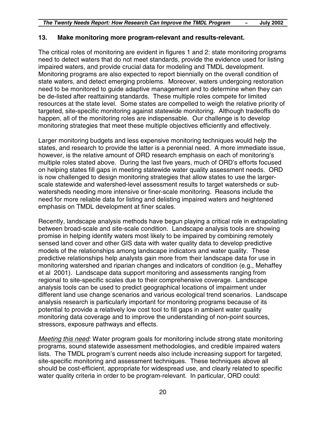#### **13. Make monitoring more program-relevant and results-relevant.**

The critical roles of monitoring are evident in figures 1 and 2: state monitoring programs need to detect waters that do not meet standards, provide the evidence used for listing impaired waters, and provide crucial data for modeling and TMDL development. Monitoring programs are also expected to report biennially on the overall condition of state waters, and detect emerging problems. Moreover, waters undergoing restoration need to be monitored to guide adaptive management and to determine when they can be de-listed after reattaining standards. These multiple roles compete for limited resources at the state level. Some states are compelled to weigh the relative priority of targeted, site-specific monitoring against statewide monitoring. Although tradeoffs do happen, all of the monitoring roles are indispensable. Our challenge is to develop monitoring strategies that meet these multiple objectives efficiently and effectively.

Larger monitoring budgets and less expensive monitoring techniques would help the states, and research to provide the latter is a perennial need. A more immediate issue, however, is the relative amount of ORD research emphasis on each of monitoring's multiple roles stated above. During the last five years, much of ORD's efforts focused on helping states fill gaps in meeting statewide water quality assessment needs. ORD is now challenged to design monitoring strategies that allow states to use the largerscale statewide and watershed-level assessment results to target watersheds or subwatersheds needing more intensive or finer-scale monitoring. Reasons include the need for more reliable data for listing and delisting impaired waters and heightened emphasis on TMDL development at finer scales.

Recently, landscape analysis methods have begun playing a critical role in extrapolating between broad-scale and site-scale condition. Landscape analysis tools are showing promise in helping identify waters most likely to be impaired by combining remotely sensed land cover and other GIS data with water quality data to develop predictive models of the relationships among landscape indicators and water quality. These predictive relationships help analysts gain more from their landscape data for use in monitoring watershed and riparian changes and indicators of condition (e.g., Mehaffey et al 2001). Landscape data support monitoring and assessments ranging from regional to site-specific scales due to their comprehensive coverage. Landscape analysis tools can be used to predict geographical locations of impairment under different land use change scenarios and various ecological trend scenarios. Landscape analysis research is particularly important for monitoring programs because of its potential to provide a relatively low cost tool to fill gaps in ambient water quality monitoring data coverage and to improve the understanding of non-point sources, stressors, exposure pathways and effects.

*Meeting this need:* Water program goals for monitoring include strong state monitoring programs, sound statewide assessment methodologies, and credible impaired waters lists. The TMDL program's current needs also include increasing support for targeted, site-specific monitoring and assessment techniques. These techniques above all should be cost-efficient, appropriate for widespread use, and clearly related to specific water quality criteria in order to be program-relevant. In particular, ORD could: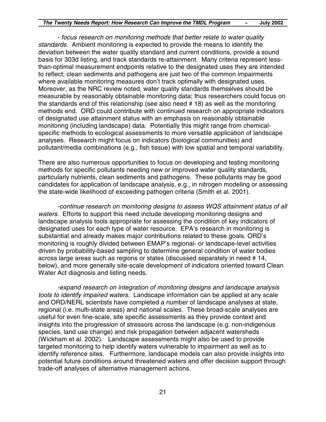- *focus research on monitoring methods that better relate to water quality standards.* Ambient monitoring is expected to provide the means to identify the deviation between the water quality standard and current conditions, provide a sound basis for 303d listing, and track standards re-attainment. Many criteria represent lessthan-optimal measurement endpoints relative to the designated uses they are intended to reflect; clean sediments and pathogens are just two of the common impairments where available monitoring measures don't track optimally with designated uses. Moreover, as the NRC review noted, water quality standards themselves should be measurable by reasonably obtainable monitoring data; thus researchers could focus on the standards end of this relationship (see also need # 18) as well as the monitoring methods end. ORD could contribute with continued research on appropriate indicators of designated use attainment status with an emphasis on reasonably obtainable monitoring (including landscape) data. Potentially this might range from chemicalspecific methods to ecological assessments to more versatile application of landscape analyses. Research might focus on indicators (biological communities) and pollutant/media combinations (e.g., fish tissue) with low spatial and temporal variability.

There are also numerous opportunities to focus on developing and testing monitoring methods for specific pollutants needing new or improved water quality standards, particularly nutrients, clean sediments and pathogens. These pollutants may be good candidates for application of landscape analysis, e.g., in nitrogen modeling or assessing the state-wide likelihood of exceeding pathogen criteria (Smith et al. 2001).

*-continue research on monitoring designs to assess WQS attainment status of all waters.* Efforts to support this need include developing monitoring designs and landscape analysis tools appropriate for assessing the condition of key indicators of designated uses for each type of water resource. EPA's research in monitoring is substantial and already makes major contributions related to these goals. ORD's monitoring is roughly divided between EMAP's regional- or landscape-level activities driven by probability-based sampling to determine general condition of water bodies across large areas such as regions or states (discussed separately in need # 14, below), and more generally site-scale development of indicators oriented toward Clean Water Act diagnosis and listing needs.

*-expand research on integration of monitoring designs and landscape analysis tools to identify impaired waters.* Landscape information can be applied at any scale and ORD/NERL scientists have completed a number of landscape analyses at state, regional (i.e. multi-state areas) and national scales. These broad-scale analyses are useful for even fine-scale, site specific assessments as they provide context and insights into the progression of stressors across the landscape (e.g. non-indigenous species, land use change) and risk propagation between adjacent watersheds (Wickham et al. 2002). Landscape assessments might also be used to provide targeted monitoring to help identify waters vulnerable to impairment as well as to identify reference sites. Furthermore, landscape models can also provide insights into potential future conditions around threatened waters and offer decision support through trade-off analyses of alternative management actions.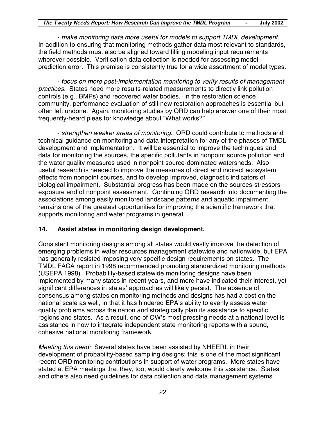- *make monitoring data more useful for models to support TMDL development*. In addition to ensuring that monitoring methods gather data most relevant to standards, the field methods must also be aligned toward filling modeling input requirements wherever possible. Verification data collection is needed for assessing model prediction error. This premise is consistently true for a wide assortment of model types.

- *focus on more post-implementation monitoring to verify results of management practices.* States need more results-related measurements to directly link pollution controls (e.g., BMPs) and recovered water bodies. In the restoration science community, performance evaluation of still-new restoration approaches is essential but often left undone. Again, monitoring studies by ORD can help answer one of their most frequently-heard pleas for knowledge about "What works?"

- *strengthen weaker areas of monitoring.* ORD could contribute to methods and technical guidance on monitoring and data interpretation for any of the phases of TMDL development and implementation. It will be essential to improve the techniques and data for monitoring the sources, the specific pollutants in nonpoint source pollution and the water quality measures used in nonpoint source-dominated watersheds. Also useful research is needed to improve the measures of direct and indirect ecosystem effects from nonpoint sources, and to develop improved, diagnostic indicators of biological impairment. Substantial progress has been made on the sources-stressorsexposure end of nonpoint assessment. Continuing ORD research into documenting the associations among easily monitored landscape patterns and aquatic impairment remains one of the greatest opportunities for improving the scientific framework that supports monitoring and water programs in general.

#### **14. Assist states in monitoring design development.**

Consistent monitoring designs among all states would vastly improve the detection of emerging problems in water resources management statewide and nationwide, but EPA has generally resisted imposing very specific design requirements on states. The TMDL FACA report in 1998 recommended promoting standardized monitoring methods (USEPA 1998). Probability-based statewide monitoring designs have been implemented by many states in recent years, and more have indicated their interest, yet significant differences in states' approaches will likely persist. The absence of consensus among states on monitoring methods and designs has had a cost on the national scale as well, in that it has hindered EPA's ability to evenly assess water quality problems across the nation and strategically plan its assistance to specific regions and states. As a result, one of OW's most pressing needs at a national level is assistance in how to integrate independent state monitoring reports with a sound, cohesive national monitoring framework.

*Meeting this need:* Several states have been assisted by NHEERL in their development of probability-based sampling designs; this is one of the most significant recent ORD monitoring contributions in support of water programs. More states have stated at EPA meetings that they, too, would clearly welcome this assistance. States and others also need guidelines for data collection and data management systems.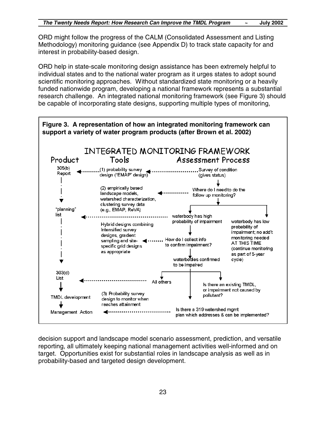ORD might follow the progress of the CALM (Consolidated Assessment and Listing Methodology) monitoring guidance (see Appendix D) to track state capacity for and interest in probability-based design.

ORD help in state-scale monitoring design assistance has been extremely helpful to individual states and to the national water program as it urges states to adopt sound scientific monitoring approaches. Without standardized state monitoring or a heavily funded nationwide program, developing a national framework represents a substantial research challenge. An integrated national monitoring framework (see Figure 3) should be capable of incorporating state designs, supporting multiple types of monitoring,



decision support and landscape model scenario assessment, prediction, and versatile reporting, all ultimately keeping national management activities well-informed and on target. Opportunities exist for substantial roles in landscape analysis as well as in probability-based and targeted design development.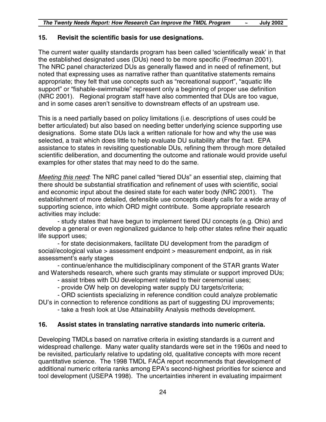#### **15. Revisit the scientific basis for use designations.**

The current water quality standards program has been called 'scientifically weak' in that the established designated uses (DUs) need to be more specific (Freedman 2001). The NRC panel characterized DUs as generally flawed and in need of refinement, but noted that expressing uses as narrative rather than quantitative statements remains appropriate; they felt that use concepts such as "recreational support", "aquatic life support" or "fishable-swimmable" represent only a beginning of proper use definition (NRC 2001). Regional program staff have also commented that DUs are too vague, and in some cases aren't sensitive to downstream effects of an upstream use.

This is a need partially based on policy limitations (i.e. descriptions of uses could be better articulated) but also based on needing better underlying science supporting use designations. Some state DUs lack a written rationale for how and why the use was selected, a trait which does little to help evaluate DU suitability after the fact. EPA assistance to states in revisiting questionable DUs, refining them through more detailed scientific deliberation, and documenting the outcome and rationale would provide useful examples for other states that may need to do the same.

*Meeting this need*: The NRC panel called "tiered DUs" an essential step, claiming that there should be substantial stratification and refinement of uses with scientific, social and economic input about the desired state for each water body (NRC 2001). The establishment of more detailed, defensible use concepts clearly calls for a wide array of supporting science, into which ORD might contribute. Some appropriate research activities may include:

- study states that have begun to implement tiered DU concepts (e.g. Ohio) and develop a general or even regionalized guidance to help other states refine their aquatic life support uses;

- for state decisionmakers, facilitate DU development from the paradigm of social/ecological value > assessment endpoint > measurement endpoint, as in risk assessment's early stages

- continue/enhance the multidisciplinary component of the STAR grants Water and Watersheds research, where such grants may stimulate or support improved DUs;

- assist tribes with DU development related to their ceremonial uses;

- provide OW help on developing water supply DU targets/criteria;

- ORD scientists specializing in reference condition could analyze problematic

DU's in connection to reference conditions as part of suggesting DU improvements;

- take a fresh look at Use Attainability Analysis methods development.

#### **16. Assist states in translating narrative standards into numeric criteria.**

Developing TMDLs based on narrative criteria in existing standards is a current and widespread challenge. Many water quality standards were set in the 1960s and need to be revisited, particularly relative to updating old, qualitative concepts with more recent quantitative science. The 1998 TMDL FACA report recommends that development of additional numeric criteria ranks among EPA's second-highest priorities for science and tool development (USEPA 1998). The uncertainties inherent in evaluating impairment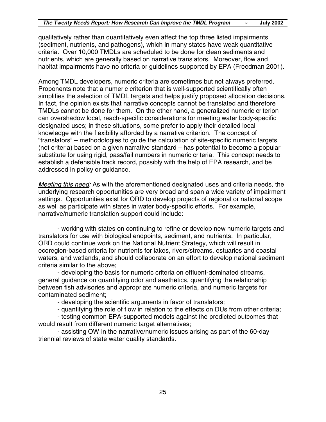qualitatively rather than quantitatively even affect the top three listed impairments (sediment, nutrients, and pathogens), which in many states have weak quantitative criteria. Over 10,000 TMDLs are scheduled to be done for clean sediments and nutrients, which are generally based on narrative translators. Moreover, flow and habitat impairments have no criteria or guidelines supported by EPA (Freedman 2001).

Among TMDL developers, numeric criteria are sometimes but not always preferred. Proponents note that a numeric criterion that is well-supported scientifically often simplifies the selection of TMDL targets and helps justify proposed allocation decisions. In fact, the opinion exists that narrative concepts cannot be translated and therefore TMDLs cannot be done for them. On the other hand, a generalized numeric criterion can overshadow local, reach-specific considerations for meeting water body-specific designated uses; in these situations, some prefer to apply their detailed local knowledge with the flexibility afforded by a narrative criterion. The concept of "translators" – methodologies to guide the calculation of site-specific numeric targets (not criteria) based on a given narrative standard – has potential to become a popular substitute for using rigid, pass/fail numbers in numeric criteria. This concept needs to establish a defensible track record, possibly with the help of EPA research, and be addressed in policy or guidance.

*Meeting this need:* As with the aforementioned designated uses and criteria needs, the underlying research opportunities are very broad and span a wide variety of impairment settings. Opportunities exist for ORD to develop projects of regional or national scope as well as participate with states in water body-specific efforts. For example, narrative/numeric translation support could include:

- working with states on continuing to refine or develop new numeric targets and translators for use with biological endpoints, sediment, and nutrients. In particular, ORD could continue work on the National Nutrient Strategy, which will result in ecoregion-based criteria for nutrients for lakes, rivers/streams, estuaries and coastal waters, and wetlands, and should collaborate on an effort to develop national sediment criteria similar to the above;

- developing the basis for numeric criteria on effluent-dominated streams, general guidance on quantifying odor and aesthetics, quantifying the relationship between fish advisories and appropriate numeric criteria, and numeric targets for contaminated sediment;

- developing the scientific arguments in favor of translators;

- quantifying the role of flow in relation to the effects on DUs from other criteria;

- testing common EPA-supported models against the predicted outcomes that would result from different numeric target alternatives;

- assisting OW in the narrative/numeric issues arising as part of the 60-day triennial reviews of state water quality standards.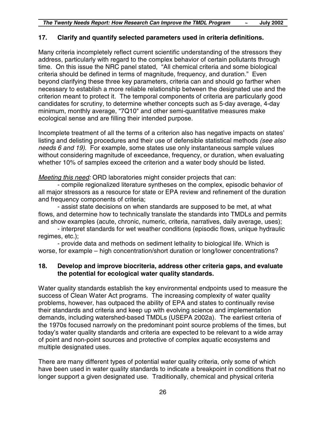#### **17. Clarify and quantify selected parameters used in criteria definitions.**

Many criteria incompletely reflect current scientific understanding of the stressors they address, particularly with regard to the complex behavior of certain pollutants through time. On this issue the NRC panel stated, "All chemical criteria and some biological criteria should be defined in terms of magnitude, frequency, and duration." Even beyond clarifying these three key parameters, criteria can and should go farther when necessary to establish a more reliable relationship between the designated use and the criterion meant to protect it. The temporal components of criteria are particularly good candidates for scrutiny, to determine whether concepts such as 5-day average, 4-day minimum, monthly average, "7Q10" and other semi-quantitative measures make ecological sense and are filling their intended purpose.

Incomplete treatment of all the terms of a criterion also has negative impacts on states' listing and delisting procedures and their use of defensible statistical methods *(see also needs 6 and 19)*. For example, some states use only instantaneous sample values without considering magnitude of exceedance, frequency, or duration, when evaluating whether 10% of samples exceed the criterion and a water body should be listed.

#### *Meeting this need:* ORD laboratories might consider projects that can:

- compile regionalized literature syntheses on the complex, episodic behavior of all major stressors as a resource for state or EPA review and refinement of the duration and frequency components of criteria;

- assist state decisions on when standards are supposed to be met, at what flows, and determine how to technically translate the standards into TMDLs and permits and show examples (acute, chronic, numeric, criteria, narratives, daily average, uses);

- interpret standards for wet weather conditions (episodic flows, unique hydraulic regimes, etc.);

- provide data and methods on sediment lethality to biological life. Which is worse, for example – high concentration/short duration or long/lower concentrations?

#### **18. Develop and improve biocriteria, address other criteria gaps, and evaluate the potential for ecological water quality standards.**

Water quality standards establish the key environmental endpoints used to measure the success of Clean Water Act programs. The increasing complexity of water quality problems, however, has outpaced the ability of EPA and states to continually revise their standards and criteria and keep up with evolving science and implementation demands, including watershed-based TMDLs (USEPA 2002a). The earliest criteria of the 1970s focused narrowly on the predominant point source problems of the times, but today's water quality standards and criteria are expected to be relevant to a wide array of point and non-point sources and protective of complex aquatic ecosystems and multiple designated uses.

There are many different types of potential water quality criteria, only some of which have been used in water quality standards to indicate a breakpoint in conditions that no longer support a given designated use. Traditionally, chemical and physical criteria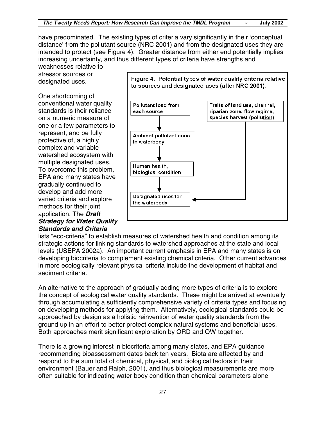have predominated. The existing types of criteria vary significantly in their 'conceptual distance' from the pollutant source (NRC 2001) and from the designated uses they are intended to protect (see Figure 4). Greater distance from either end potentially implies increasing uncertainty, and thus different types of criteria have strengths and weaknesses relative to

stressor sources or designated uses.

One shortcoming of conventional water quality standards is their reliance on a numeric measure of one or a few parameters to represent, and be fully protective of, a highly complex and variable watershed ecosystem with multiple designated uses. To overcome this problem, EPA and many states have gradually continued to develop and add more varied criteria and explore methods for their joint application. The *Draft Strategy for Water Quality Standards and Criteria*



lists "eco-criteria" to establish measures of watershed health and condition among its strategic actions for linking standards to watershed approaches at the state and local levels (USEPA 2002a). An important current emphasis in EPA and many states is on developing biocriteria to complement existing chemical criteria. Other current advances in more ecologically relevant physical criteria include the development of habitat and sediment criteria.

An alternative to the approach of gradually adding more types of criteria is to explore the concept of ecological water quality standards. These might be arrived at eventually through accumulating a sufficiently comprehensive variety of criteria types and focusing on developing methods for applying them. Alternatively, ecological standards could be approached by design as a holistic reinvention of water quality standards from the ground up in an effort to better protect complex natural systems and beneficial uses. Both approaches merit significant exploration by ORD and OW together.

There is a growing interest in biocriteria among many states, and EPA guidance recommending bioassessment dates back ten years. Biota are affected by and respond to the sum total of chemical, physical, and biological factors in their environment (Bauer and Ralph, 2001), and thus biological measurements are more often suitable for indicating water body condition than chemical parameters alone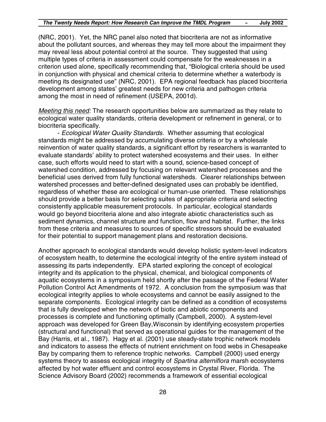(NRC, 2001). Yet, the NRC panel also noted that biocriteria are not as informative about the pollutant sources, and whereas they may tell more about the impairment they may reveal less about potential control at the source. They suggested that using multiple types of criteria in assessment could compensate for the weaknesses in a criterion used alone, specifically recommending that, "Biological criteria should be used in conjunction with physical and chemical criteria to determine whether a waterbody is meeting its designated use" (NRC, 2001). EPA regional feedback has placed biocriteria development among states' greatest needs for new criteria and pathogen criteria among the most in need of refinement (USEPA, 2001d).

*Meeting this need:* The research opportunities below are summarized as they relate to ecological water quality standards, criteria development or refinement in general, or to biocriteria specifically.

- *Ecological Water Quality Standards.* Whether assuming that ecological standards might be addressed by accumulating diverse criteria or by a wholesale reinvention of water quality standards, a significant effort by researchers is warranted to evaluate standards' ability to protect watershed ecosystems and their uses. In either case, such efforts would need to start with a sound, science-based concept of watershed condition, addressed by focusing on relevant watershed processes and the beneficial uses derived from fully functional watersheds. Clearer relationships between watershed processes and better-defined designated uses can probably be identified, regardless of whether these are ecological or human-use oriented. These relationships should provide a better basis for selecting suites of appropriate criteria and selecting consistently applicable measurement protocols. In particular, ecological standards would go beyond biocriteria alone and also integrate abiotic characteristics such as sediment dynamics, channel structure and function, flow and habitat. Further, the links from these criteria and measures to sources of specific stressors should be evaluated for their potential to support management plans and restoration decisions.

Another approach to ecological standards would develop holistic system-level indicators of ecosystem health, to determine the ecological integrity of the entire system instead of assessing its parts independently. EPA started exploring the concept of ecological integrity and its application to the physical, chemical, and biological components of aquatic ecosystems in a symposium held shortly after the passage of the Federal Water Pollution Control Act Amendments of 1972. A conclusion from the symposium was that ecological integrity applies to whole ecosystems and cannot be easily assigned to the separate components. Ecological integrity can be defined as a condition of ecosystems that is fully developed when the network of biotic and abiotic components and processes is complete and functioning optimally (Campbell, 2000). A system-level approach was developed for Green Bay,Wisconsin by identifying ecosystem properties (structural and functional) that served as operational guides for the management of the Bay (Harris, et al., 1987). Hagy et al. (2001) use steady-state trophic network models and indicators to assess the effects of nutrient enrichment on food webs in Chesapeake Bay by comparing them to reference trophic networks. Campbell (2000) used energy systems theory to assess ecological integrity of *Spartina alterniflora* marsh ecosystems affected by hot water effluent and control ecosystems in Crystal River, Florida. The Science Advisory Board (2002) recommends a framework of essential ecological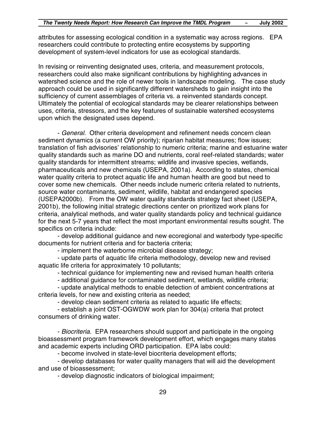attributes for assessing ecological condition in a systematic way across regions. EPA researchers could contribute to protecting entire ecosystems by supporting development of system-level indicators for use as ecological standards.

In revising or reinventing designated uses, criteria, and measurement protocols, researchers could also make significant contributions by highlighting advances in watershed science and the role of newer tools in landscape modeling. The case study approach could be used in significantly different watersheds to gain insight into the sufficiency of current assemblages of criteria vs. a reinvented standards concept. Ultimately the potential of ecological standards may be clearer relationships between uses, criteria, stressors, and the key features of sustainable watershed ecosystems upon which the designated uses depend.

- *General.* Other criteria development and refinement needs concern clean sediment dynamics (a current OW priority); riparian habitat measures; flow issues; translation of fish advisories' relationship to numeric criteria; marine and estuarine water quality standards such as marine DO and nutrients, coral reef-related standards; water quality standards for intermittent streams; wildlife and invasive species, wetlands, pharmaceuticals and new chemicals (USEPA, 2001a). According to states, chemical water quality criteria to protect aquatic life and human health are good but need to cover some new chemicals. Other needs include numeric criteria related to nutrients, source water contaminants, sediment, wildlife, habitat and endangered species (USEPA2000b). From the OW water quality standards strategy fact sheet (USEPA, 2001b), the following initial strategic directions center on prioritized work plans for criteria, analytical methods, and water quality standards policy and technical guidance for the next 5-7 years that reflect the most important environmental results sought. The specifics on criteria include:

- develop additional guidance and new ecoregional and waterbody type-specific documents for nutrient criteria and for bacteria criteria;

- implement the waterborne microbial disease strategy;

- update parts of aquatic life criteria methodology, develop new and revised aquatic life criteria for approximately 10 pollutants;

- technical guidance for implementing new and revised human health criteria

- additional guidance for contaminated sediment, wetlands, wildlife criteria;

- update analytical methods to enable detection of ambient concentrations at criteria levels, for new and existing criteria as needed;

- develop clean sediment criteria as related to aquatic life effects;

- establish a joint OST-OGWDW work plan for 304(a) criteria that protect consumers of drinking water.

- *Biocriteria.* EPA researchers should support and participate in the ongoing bioassessment program framework development effort, which engages many states and academic experts including ORD participation. EPA labs could:

- become involved in state-level biocriteria development efforts;

- develop databases for water quality managers that will aid the development and use of bioassessment;

- develop diagnostic indicators of biological impairment;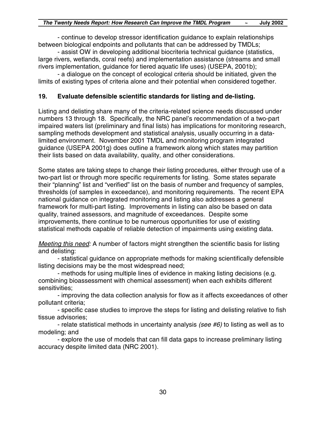- continue to develop stressor identification guidance to explain relationships between biological endpoints and pollutants that can be addressed by TMDLs;

- assist OW in developing additional biocriteria technical guidance (statistics, large rivers, wetlands, coral reefs) and implementation assistance (streams and small rivers implementation, guidance for tiered aquatic life uses) (USEPA, 2001b);

- a dialogue on the concept of ecological criteria should be initiated, given the limits of existing types of criteria alone and their potential when considered together.

#### **19. Evaluate defensible scientific standards for listing and de-listing.**

Listing and delisting share many of the criteria-related science needs discussed under numbers 13 through 18. Specifically, the NRC panel's recommendation of a two-part impaired waters list (preliminary and final lists) has implications for monitoring research, sampling methods development and statistical analysis, usually occurring in a datalimited environment. November 2001 TMDL and monitoring program integrated guidance (USEPA 2001g) does outline a framework along which states may partition their lists based on data availability, quality, and other considerations.

Some states are taking steps to change their listing procedures, either through use of a two-part list or through more specific requirements for listing. Some states separate their "planning" list and "verified" list on the basis of number and frequency of samples, thresholds (of samples in exceedance), and monitoring requirements. The recent EPA national guidance on integrated monitoring and listing also addresses a general framework for multi-part listing. Improvements in listing can also be based on data quality, trained assessors, and magnitude of exceedances. Despite some improvements, there continue to be numerous opportunities for use of existing statistical methods capable of reliable detection of impairments using existing data.

*Meeting this need:* A number of factors might strengthen the scientific basis for listing and delisting:

- statistical guidance on appropriate methods for making scientifically defensible listing decisions may be the most widespread need;

- methods for using multiple lines of evidence in making listing decisions (e.g. combining bioassessment with chemical assessment) when each exhibits different sensitivities;

- improving the data collection analysis for flow as it affects exceedances of other pollutant criteria;

- specific case studies to improve the steps for listing and delisting relative to fish tissue advisories;

- relate statistical methods in uncertainty analysis *(see #6)* to listing as well as to modeling; and

- explore the use of models that can fill data gaps to increase preliminary listing accuracy despite limited data (NRC 2001).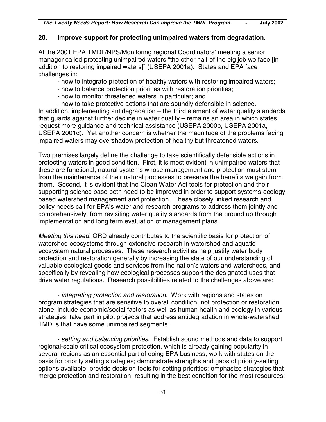#### **20. Improve support for protecting unimpaired waters from degradation.**

At the 2001 EPA TMDL/NPS/Monitoring regional Coordinators' meeting a senior manager called protecting unimpaired waters "the other half of the big job we face [in addition to restoring impaired waters]" (USEPA 2001a). States and EPA face challenges in:

- how to integrate protection of healthy waters with restoring impaired waters;

- how to balance protection priorities with restoration priorities;
- how to monitor threatened waters in particular; and

- how to take protective actions that are soundly defensible in science. In addition, implementing antidegradation – the third element of water quality standards that guards against further decline in water quality – remains an area in which states request more guidance and technical assistance (USEPA 2000b, USEPA 2001a, USEPA 2001d). Yet another concern is whether the magnitude of the problems facing impaired waters may overshadow protection of healthy but threatened waters.

Two premises largely define the challenge to take scientifically defensible actions in protecting waters in good condition. First, it is most evident in unimpaired waters that these are functional, natural systems whose management and protection must stem from the maintenance of their natural processes to preserve the benefits we gain from them. Second, it is evident that the Clean Water Act tools for protection and their supporting science base both need to be improved in order to support systems-ecologybased watershed management and protection. These closely linked research and policy needs call for EPA's water and research programs to address them jointly and comprehensively, from revisiting water quality standards from the ground up through implementation and long term evaluation of management plans.

*Meeting this need:* ORD already contributes to the scientific basis for protection of watershed ecosystems through extensive research in watershed and aquatic ecosystem natural processes. These research activities help justify water body protection and restoration generally by increasing the state of our understanding of valuable ecological goods and services from the nation's waters and watersheds, and specifically by revealing how ecological processes support the designated uses that drive water regulations. Research possibilities related to the challenges above are:

- *integrating protection and restoration*. Work with regions and states on program strategies that are sensitive to overall condition, not protection or restoration alone; include economic/social factors as well as human health and ecology in various strategies; take part in pilot projects that address antidegradation in whole-watershed TMDLs that have some unimpaired segments.

- *setting and balancing priorities*. Establish sound methods and data to support regional-scale critical ecosystem protection, which is already gaining popularity in several regions as an essential part of doing EPA business; work with states on the basis for priority setting strategies; demonstrate strengths and gaps of priority-setting options available; provide decision tools for setting priorities; emphasize strategies that merge protection and restoration, resulting in the best condition for the most resources;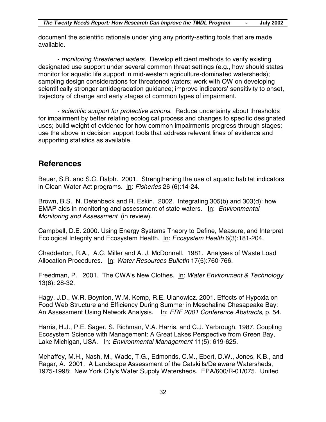document the scientific rationale underlying any priority-setting tools that are made available.

- *monitoring threatened waters.* Develop efficient methods to verify existing designated use support under several common threat settings (e.g., how should states monitor for aquatic life support in mid-western agriculture-dominated watersheds); sampling design considerations for threatened waters; work with OW on developing scientifically stronger antidegradation guidance; improve indicators' sensitivity to onset, trajectory of change and early stages of common types of impairment.

- *scientific support for protective actions*. Reduce uncertainty about thresholds for impairment by better relating ecological process and changes to specific designated uses; build weight of evidence for how common impairments progress through stages; use the above in decision support tools that address relevant lines of evidence and supporting statistics as available.

### **References**

Bauer, S.B. and S.C. Ralph. 2001. Strengthening the use of aquatic habitat indicators in Clean Water Act programs. In: *Fisheries* 26 (6):14-24.

Brown, B.S., N. Detenbeck and R. Eskin. 2002. Integrating 305(b) and 303(d): how EMAP aids in monitoring and assessment of state waters. In: *Environmental Monitoring and Assessment* (in review).

Campbell, D.E. 2000. Using Energy Systems Theory to Define, Measure, and Interpret Ecological Integrity and Ecosystem Health. In: *Ecosystem Health* 6(3):181-204.

Chadderton, R.A., A.C. Miller and A. J. McDonnell. 1981. Analyses of Waste Load Allocation Procedures. In: *Water Resources Bulletin* 17(5):760-766.

Freedman, P. 2001. The CWA's New Clothes. In: *Water Environment & Technology* 13(6): 28-32.

Hagy, J.D., W.R. Boynton, W.M. Kemp, R.E. Ulanowicz. 2001. Effects of Hypoxia on Food Web Structure and Efficiency During Summer in Mesohaline Chesapeake Bay: An Assessment Using Network Analysis. In: *ERF 2001 Conference Abstracts,* p. 54.

Harris, H.J., P.E. Sager, S. Richman, V.A. Harris, and C.J. Yarbrough. 1987. Coupling Ecosystem Science with Management: A Great Lakes Perspective from Green Bay, Lake Michigan, USA. In: *Environmental Management* 11(5); 619-625.

Mehaffey, M.H., Nash, M., Wade, T.G., Edmonds, C.M., Ebert, D.W., Jones, K.B., and Ragar, A. 2001. A Landscape Assessment of the Catskills/Delaware Watersheds, 1975-1998: New York City's Water Supply Watersheds. EPA/600/R-01/075. United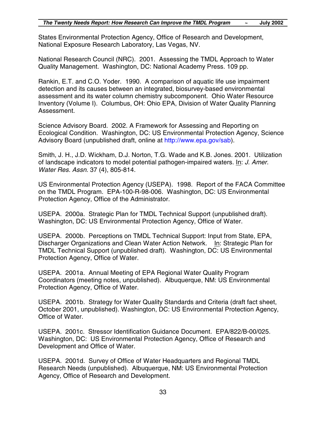States Environmental Protection Agency, Office of Research and Development, National Exposure Research Laboratory, Las Vegas, NV.

National Research Council (NRC). 2001. Assessing the TMDL Approach to Water Quality Management. Washington, DC: National Academy Press. 109 pp.

Rankin, E.T. and C.O. Yoder. 1990. A comparison of aquatic life use impairment detection and its causes between an integrated, biosurvey-based environmental assessment and its water column chemistry subcomponent. Ohio Water Resource Inventory (Volume I). Columbus, OH: Ohio EPA, Division of Water Quality Planning Assessment.

Science Advisory Board. 2002. A Framework for Assessing and Reporting on Ecological Condition. Washington, DC: US Environmental Protection Agency, Science Advisory Board (unpublished draft, online at [http://www.epa.gov/sab\).](http://www.epa.gov/sab)

Smith, J. H., J.D. Wickham, D.J. Norton, T.G. Wade and K.B. Jones. 2001. Utilization of landscape indicators to model potential pathogen-impaired waters. In: *J. Amer. Water Res. Assn.* 37 (4), 805-814.

US Environmental Protection Agency (USEPA). 1998. Report of the FACA Committee on the TMDL Program. EPA-100-R-98-006. Washington, DC: US Environmental Protection Agency, Office of the Administrator.

USEPA. 2000a. Strategic Plan for TMDL Technical Support (unpublished draft). Washington, DC: US Environmental Protection Agency, Office of Water.

USEPA. 2000b. Perceptions on TMDL Technical Support: Input from State, EPA, Discharger Organizations and Clean Water Action Network. In: Strategic Plan for TMDL Technical Support (unpublished draft). Washington, DC: US Environmental Protection Agency, Office of Water.

USEPA. 2001a. Annual Meeting of EPA Regional Water Quality Program Coordinators (meeting notes, unpublished). Albuquerque, NM: US Environmental Protection Agency, Office of Water.

USEPA. 2001b. Strategy for Water Quality Standards and Criteria (draft fact sheet, October 2001, unpublished). Washington, DC: US Environmental Protection Agency, Office of Water.

USEPA. 2001c. Stressor Identification Guidance Document. EPA/822/B-00/025. Washington, DC: US Environmental Protection Agency, Office of Research and Development and Office of Water.

USEPA. 2001d. Survey of Office of Water Headquarters and Regional TMDL Research Needs (unpublished). Albuquerque, NM: US Environmental Protection Agency, Office of Research and Development.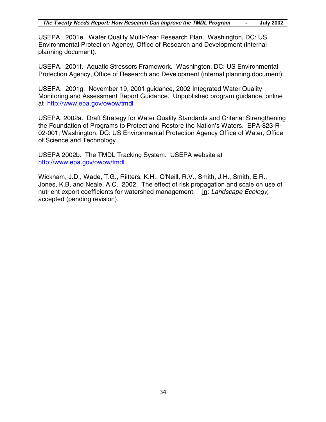USEPA. 2001e. Water Quality Multi-Year Research Plan. Washington, DC: US Environmental Protection Agency, Office of Research and Development (internal planning document).

USEPA. 2001f. Aquatic Stressors Framework. Washington, DC: US Environmental Protection Agency, Office of Research and Development (internal planning document).

USEPA. 2001g. November 19, 2001 guidance, 2002 Integrated Water Quality Monitoring and Assessment Report Guidance. Unpublished program guidance, online at <http://www.epa.gov/owow/tmdl>

USEPA. 2002a. Draft Strategy for Water Quality Standards and Criteria: Strengthening the Foundation of Programs to Protect and Restore the Nation's Waters. EPA-823-R-02-001; Washington, DC: US Environmental Protection Agency Office of Water, Office of Science and Technology.

USEPA 2002b. The TMDL Tracking System. USEPA website at <http://www.epa.gov/owow/tmdl>

Wickham, J.D., Wade, T.G., Riitters, K.H., O'Neill, R.V., Smith, J.H., Smith, E.R., Jones, K.B, and Neale, A.C. 2002. The effect of risk propagation and scale on use of nutrient export coefficients for watershed management. In: *Landscape Ecology,* accepted (pending revision).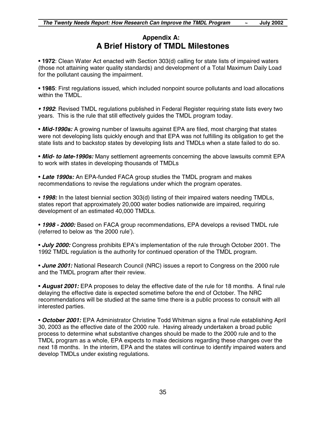### **Appendix A: A Brief History of TMDL Milestones**

• **1972**: Clean Water Act enacted with Section 303(d) calling for state lists of impaired waters (those not attaining water quality standards) and development of a Total Maximum Daily Load for the pollutant causing the impairment.

• **1985**: First regulations issued, which included nonpoint source pollutants and load allocations within the TMDL.

*• 1992*: Revised TMDL regulations published in Federal Register requiring state lists every two years. This is the rule that still effectively guides the TMDL program today.

• *Mid-1990s:* A growing number of lawsuits against EPA are filed, most charging that states were not developing lists quickly enough and that EPA was not fulfilling its obligation to get the state lists and to backstop states by developing lists and TMDLs when a state failed to do so.

• *Mid- to late-1990s:* Many settlement agreements concerning the above lawsuits commit EPA to work with states in developing thousands of TMDLs

• *Late 1990s:* An EPA-funded FACA group studies the TMDL program and makes recommendations to revise the regulations under which the program operates.

• *1998:* In the latest biennial section 303(d) listing of their impaired waters needing TMDLs, states report that approximately 20,000 water bodies nationwide are impaired, requiring development of an estimated 40,000 TMDLs.

• *1998 - 2000:* Based on FACA group recommendations, EPA develops a revised TMDL rule (referred to below as 'the 2000 rule').

• *July 2000:* Congress prohibits EPA's implementation of the rule through October 2001. The 1992 TMDL regulation is the authority for continued operation of the TMDL program.

• *June 2001:* National Research Council (NRC) issues a report to Congress on the 2000 rule and the TMDL program after their review.

• *August 2001:* EPA proposes to delay the effective date of the rule for 18 months. A final rule delaying the effective date is expected sometime before the end of October. The NRC recommendations will be studied at the same time there is a public process to consult with all interested parties.

• *October 2001:* EPA Administrator Christine Todd Whitman signs a final rule establishing April 30, 2003 as the effective date of the 2000 rule. Having already undertaken a broad public process to determine what substantive changes should be made to the 2000 rule and to the TMDL program as a whole, EPA expects to make decisions regarding these changes over the next 18 months. In the interim, EPA and the states will continue to identify impaired waters and develop TMDLs under existing regulations.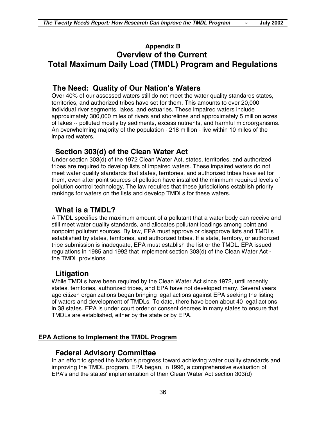#### **Appendix B Overview of the Current Total Maximum Daily Load (TMDL) Program and Regulations**

#### **The Need: Quality of Our Nation's Waters**

Over 40% of our assessed waters still do not meet the water quality standards states, territories, and authorized tribes have set for them. This amounts to over 20,000 individual river segments, lakes, and estuaries. These impaired waters include approximately 300,000 miles of rivers and shorelines and approximately 5 million acres of lakes -- polluted mostly by sediments, excess nutrients, and harmful microorganisms. An overwhelming majority of the population - 218 million - live within 10 miles of the impaired waters.

#### **Section 303(d) of the Clean Water Act**

Under section 303(d) of the 1972 Clean Water Act, states, territories, and authorized tribes are required to develop lists of impaired waters. These impaired waters do not meet water quality standards that states, territories, and authorized tribes have set for them, even after point sources of pollution have installed the minimum required levels of pollution control technology. The law requires that these jurisdictions establish priority rankings for waters on the lists and develop TMDLs for these waters.

#### **What is a TMDL?**

A TMDL specifies the maximum amount of a pollutant that a water body can receive and still meet water quality standards, and allocates pollutant loadings among point and nonpoint pollutant sources. By law, EPA must approve or disapprove lists and TMDLs established by states, territories, and authorized tribes. If a state, territory, or authorized tribe submission is inadequate, EPA must establish the list or the TMDL. EPA issued regulations in 1985 and 1992 that implement section 303(d) of the Clean Water Act the TMDL provisions.

#### **Litigation**

While TMDLs have been required by the Clean Water Act since 1972, until recently states, territories, authorized tribes, and EPA have not developed many. Several years ago citizen organizations began bringing legal actions against EPA seeking the listing of waters and development of TMDLs. To date, there have been about 40 legal actions in 38 states. EPA is under court order or consent decrees in many states to ensure that TMDLs are established, either by the state or by EPA.

#### **EPA Actions to Implement the TMDL Program**

#### **Federal Advisory Committee**

In an effort to speed the Nation's progress toward achieving water quality standards and improving the TMDL program, EPA began, in 1996, a comprehensive evaluation of EPA's and the states' implementation of their Clean Water Act section 303(d)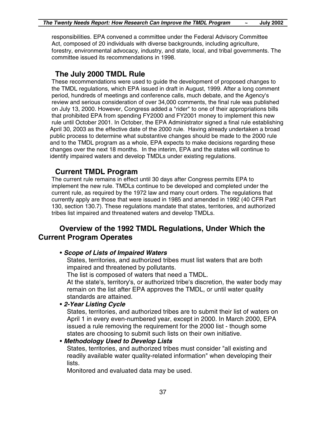responsibilities. EPA convened a committee under the Federal Advisory Committee Act, composed of 20 individuals with diverse backgrounds, including agriculture, forestry, environmental advocacy, industry, and state, local, and tribal governments. The committee issued its recommendations in 1998.

### **The July 2000 TMDL Rule**

These recommendations were used to guide the development of proposed changes to the TMDL regulations, which EPA issued in draft in August, 1999. After a long comment period, hundreds of meetings and conference calls, much debate, and the Agency's review and serious consideration of over 34,000 comments, the final rule was published on July 13, 2000. However, Congress added a "rider" to one of their appropriations bills that prohibited EPA from spending FY2000 and FY2001 money to implement this new rule until October 2001. In October, the EPA Administrator signed a final rule establishing April 30, 2003 as the effective date of the 2000 rule. Having already undertaken a broad public process to determine what substantive changes should be made to the 2000 rule and to the TMDL program as a whole, EPA expects to make decisions regarding these changes over the next 18 months. In the interim, EPA and the states will continue to identify impaired waters and develop TMDLs under existing regulations.

#### **Current TMDL Program**

The current rule remains in effect until 30 days after Congress permits EPA to implement the new rule. TMDLs continue to be developed and completed under the current rule, as required by the 1972 law and many court orders. The regulations that currently apply are those that were issued in 1985 and amended in 1992 (40 CFR Part 130, section 130.7). These regulations mandate that states, territories, and authorized tribes list impaired and threatened waters and develop TMDLs.

#### **Overview of the 1992 TMDL Regulations, Under Which the Current Program Operates**

#### • *Scope of Lists of Impaired Waters*

States, territories, and authorized tribes must list waters that are both impaired and threatened by pollutants.

The list is composed of waters that need a TMDL.

At the state's, territory's, or authorized tribe's discretion, the water body may remain on the list after EPA approves the TMDL, or until water quality standards are attained.

#### • *2-Year Listing Cycle*

States, territories, and authorized tribes are to submit their list of waters on April 1 in every even-numbered year, except in 2000. In March 2000, EPA issued a rule removing the requirement for the 2000 list - though some states are choosing to submit such lists on their own initiative.

#### • *Methodology Used to Develop Lists*

States, territories, and authorized tribes must consider "all existing and readily available water quality-related information" when developing their lists.

Monitored and evaluated data may be used.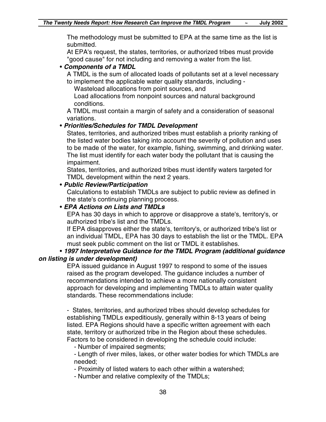The methodology must be submitted to EPA at the same time as the list is submitted.

At EPA's request, the states, territories, or authorized tribes must provide "good cause" for not including and removing a water from the list.

#### • *Components of a TMDL*

A TMDL is the sum of allocated loads of pollutants set at a level necessary

to implement the applicable water quality standards, including -

Wasteload allocations from point sources, and

Load allocations from nonpoint sources and natural background conditions.

A TMDL must contain a margin of safety and a consideration of seasonal variations.

#### • *Priorities/Schedules for TMDL Development*

States, territories, and authorized tribes must establish a priority ranking of the listed water bodies taking into account the severity of pollution and uses to be made of the water, for example, fishing, swimming, and drinking water. The list must identify for each water body the pollutant that is causing the impairment.

States, territories, and authorized tribes must identify waters targeted for TMDL development within the next 2 years.

#### • *Public Review/Participation*

Calculations to establish TMDLs are subject to public review as defined in the state's continuing planning process.

#### • *EPA Actions on Lists and TMDLs*

EPA has 30 days in which to approve or disapprove a state's, territory's, or authorized tribe's list and the TMDLs.

If EPA disapproves either the state's, territory's, or authorized tribe's list or an individual TMDL, EPA has 30 days to establish the list or the TMDL. EPA must seek public comment on the list or TMDL it establishes.

#### • *1997 Interpretative Guidance for the TMDL Program (additional guidance on listing is under development)*

EPA issued guidance in August 1997 to respond to some of the issues raised as the program developed. The guidance includes a number of recommendations intended to achieve a more nationally consistent approach for developing and implementing TMDLs to attain water quality standards. These recommendations include:

- States, territories, and authorized tribes should develop schedules for establishing TMDLs expeditiously, generally within 8-13 years of being listed. EPA Regions should have a specific written agreement with each state, territory or authorized tribe in the Region about these schedules. Factors to be considered in developing the schedule could include:

- Number of impaired segments;

- Length of river miles, lakes, or other water bodies for which TMDLs are needed;

- Proximity of listed waters to each other within a watershed;

- Number and relative complexity of the TMDLs;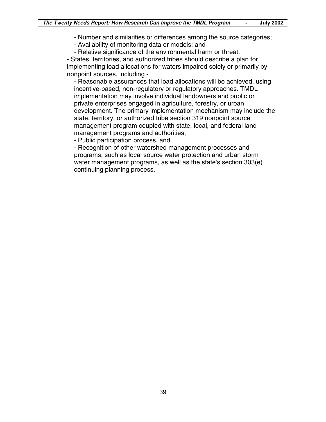- Number and similarities or differences among the source categories;
- Availability of monitoring data or models; and

- Relative significance of the environmental harm or threat.

- States, territories, and authorized tribes should describe a plan for implementing load allocations for waters impaired solely or primarily by nonpoint sources, including -

- Reasonable assurances that load allocations will be achieved, using incentive-based, non-regulatory or regulatory approaches. TMDL implementation may involve individual landowners and public or private enterprises engaged in agriculture, forestry, or urban development. The primary implementation mechanism may include the state, territory, or authorized tribe section 319 nonpoint source management program coupled with state, local, and federal land management programs and authorities,

- Public participation process, and

- Recognition of other watershed management processes and programs, such as local source water protection and urban storm water management programs, as well as the state's section 303(e) continuing planning process.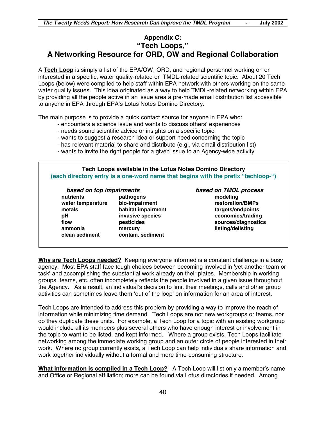#### **Appendix C: "Tech Loops," A Networking Resource for ORD, OW and Regional Collaboration**

A **Tech Loop** is simply a list of the EPA/OW, ORD, and regional personnel working on or interested in a specific, water quality-related or TMDL-related scientific topic. About 20 Tech Loops (below) were compiled to help staff within EPA network with others working on the same water quality issues. This idea originated as a way to help TMDL-related networking within EPA by providing all the people active in an issue area a pre-made email distribution list accessible to anyone in EPA through EPA's Lotus Notes Domino Directory.

The main purpose is to provide a quick contact source for anyone in EPA who:

- encounters a science issue and wants to discuss others' experiences
- needs sound scientific advice or insights on a specific topic
- wants to suggest a research idea or support need concerning the topic
- has relevant material to share and distribute (e.g., via email distribution list)
- wants to invite the right people for a given issue to an Agency-wide activity

#### **Tech Loops available in the Lotus Notes Domino Directory (each directory entry is a one-word name that begins with the prefix "techloop-")**

#### *based on top impairments based on TMDL process*

**nutrients pathogens modeling water temperature bio-impairment restoration/BMPs metals habitat impairment targets/endpoints pH invasive species economics/trading flow pesticides sources/diagnostics ammonia mercury listing/delisting clean sediment contam. sediment**

**Why are Tech Loops needed?** Keeping everyone informed is a constant challenge in a busy agency. Most EPA staff face tough choices between becoming involved in 'yet another team or task' and accomplishing the substantial work already on their plates. Membership in working groups, teams, etc. often incompletely reflects the people involved in a given issue throughout the Agency. As a result, an individual's decision to limit their meetings, calls and other group activities can sometimes leave them 'out of the loop' on information for an area of interest.

Tech Loops are intended to address this problem by providing a way to improve the reach of information while minimizing time demand. Tech Loops are not new workgroups or teams, nor do they duplicate these units. For example, a Tech Loop for a topic with an existing workgroup would include all its members plus several others who have enough interest or involvement in the topic to want to be listed, and kept informed. Where a group exists, Tech Loops facilitate networking among the immediate working group and an outer circle of people interested in their work. Where no group currently exists, a Tech Loop can help individuals share information and work together individually without a formal and more time-consuming structure.

**What information is compiled in a Tech Loop?** A Tech Loop will list only a member's name and Office or Regional affiliation; more can be found via Lotus directories if needed. Among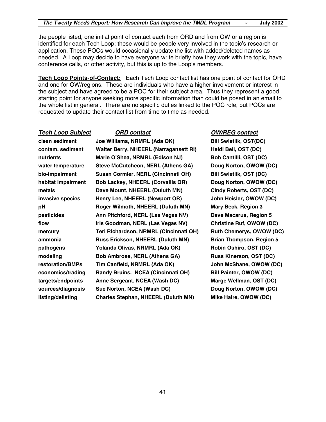the people listed, one initial point of contact each from ORD and from OW or a region is identified for each Tech Loop; these would be people very involved in the topic's research or application. These POCs would occasionally update the list with added/deleted names as needed. A Loop may decide to have everyone write briefly how they work with the topic, have conference calls, or other activity, but this is up to the Loop's members.

**Tech Loop Points-of-Contact:** Each Tech Loop contact list has one point of contact for ORD and one for OW/regions. These are individuals who have a higher involvement or interest in the subject and have agreed to be a POC for their subject area. Thus they represent a good starting point for anyone seeking more specific information than could be posed in an email to the whole list in general. There are no specific duties linked to the POC role, but POCs are requested to update their contact list from time to time as needed.

#### *Tech Loop Subject ORD contact OW/REG contact*

**clean sediment Joe Williams, NRMRL (Ada OK) Bill Swietlik, OST(DC) contam. sediment Walter Berry, NHEERL (Narragansett RI) Heidi Bell, OST (DC) nutrients Marie O'Shea, NRMRL (Edison NJ) Bob Cantilli, OST (DC)** water temperature Steve McCutcheon, NERL (Athens GA) Doug Norton, OWOW (DC) **bio-impairment Susan Cormier, NERL (Cincinnati OH) Bill Swietlik, OST (DC)** habitat impairment Bob Lackey, NHEERL (Corvallis OR) Doug Norton, OWOW (DC) **metals Dave Mount, NHEERL (Duluth MN) Cindy Roberts, OST (DC) invasive species Henry Lee, NHEERL (Newport OR) John Heisler, OWOW (DC) pH Roger Wilmoth, NHEERL (Duluth MN) Mary Beck, Region 3 pesticides Ann Pitchford, NERL (Las Vegas NV) Dave Macarus, Region 5 flow Iris Goodman, NERL (Las Vegas NV) Christine Ruf, OWOW (DC) mercury Teri Richardson, NRMRL (Cincinnati OH) Ruth Chemerys, OWOW (DC) ammonia Russ Erickson, NHEERL (Duluth MN) Brian Thompson, Region 5 pathogens Yolanda Olivas, NRMRL (Ada OK) Robin Oshiro, OST (DC) modeling Bob Ambrose, NERL (Athens GA) Russ Kinerson, OST (DC) restoration/BMPs Tim Canfield, NRMRL (Ada OK) John McShane, OWOW (DC)** economics/trading Randy Bruins, NCEA (Cincinnati OH) Bill Painter, OWOW (DC) **targets/endpoints Anne Sergeant, NCEA (Wash DC) Marge Wellman, OST (DC) sources/diagnosis Sue Norton, NCEA (Wash DC) Doug Norton, OWOW (DC) listing/delisting Charles Stephan, NHEERL (Duluth MN) Mike Haire, OWOW (DC)**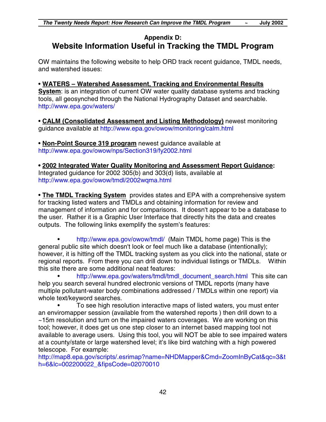### **Appendix D: Website Information Useful in Tracking the TMDL Program**

OW maintains the following website to help ORD track recent guidance, TMDL needs, and watershed issues:

• **WATERS – Watershed Assessment, Tracking and Environmental Results System**: is an integration of current OW water quality database systems and tracking tools, all geosynched through the National Hydrography Dataset and searchable. <http://www.epa.gov/waters/>

• **CALM (Consolidated Assessment and Listing Methodology)** newest monitoring guidance available at <http://www.epa.gov/owow/monitoring/calm.html>

• **Non-Point Source 319 program** newest guidance available at <http://www.epa.gov/owow/nps/Section319/fy2002.html>

**• 2002 Integrated Water Quality Monitoring and Assessment Report Guidance:** Integrated guidance for 2002 305(b) and 303(d) lists, available at <http://www.epa.gov/owow/tmdl/2002wqma.html>

• **The TMDL Tracking System** provides states and EPA with a comprehensive system for tracking listed waters and TMDLs and obtaining information for review and management of information and for comparisons. It doesn't appear to be a database to the user. Rather it is a Graphic User Interface that directly hits the data and creates outputs. The following links exemplify the system's features:

• <http://www.epa.gov/owow/tmdl/> (Main TMDL home page) This is the general public site which doesn't look or feel much like a database (intentionally); however, it is hitting off the TMDL tracking system as you click into the national, state or regional reports. From there you can drill down to individual listings or TMDLs. Within this site there are some additional neat features:

• [http://www.epa.gov/waters/tmdl/tmdl\\_document\\_search.html](http://www.epa.gov/waters/tmdl/tmdl_document_search.html) This site can help you search several hundred electronic versions of TMDL reports (many have multiple pollutant-water body combinations addressed / TMDLs within one report) via whole text/keyword searches.

• To see high resolution interactive maps of listed waters, you must enter an enviromapper session (available from the watershed reports ) then drill down to a ~15m resolution and turn on the impaired waters coverages. We are working on this tool; however, it does get us one step closer to an internet based mapping tool not available to average users. Using this tool, you will NOT be able to see impaired waters at a county/state or large watershed level; it's like bird watching with a high powered telescope. For example:

[http://map8.epa.gov/scripts/.esrimap?name=NHDMapper&Cmd=ZoomInByCat&qc=3&t](http://map8.epa.gov/scripts/.esrimap?name=NHDMapper&Cmd=ZoomInByCat&qc=3&th=6&lc=002200022_&fipsCode=02070010) h=6&lc=002200022\_&fipsCode=02070010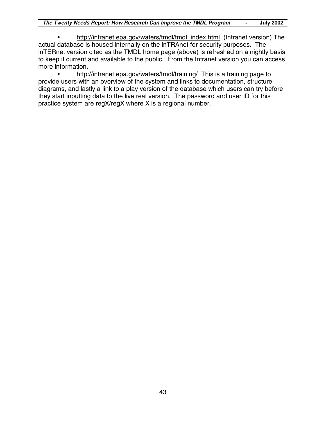• http://intranet.epa.gov/waters/tmdl/tmdl\_index.html (Intranet version) The actual database is housed internally on the inTRAnet for security purposes. The inTERnet version cited as the TMDL home page (above) is refreshed on a nightly basis to keep it current and available to the public. From the Intranet version you can access more information.

• http://intranet.epa.gov/waters/tmdl/training/ This is a training page to provide users with an overview of the system and links to documentation, structure diagrams, and lastly a link to a play version of the database which users can try before they start inputting data to the live real version. The password and user ID for this practice system are regX/regX where X is a regional number.